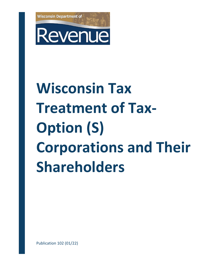

# Revenue

# **Wisconsin Tax Treatment of Tax-Option (S) Corporations and Their Shareholders**

Publication 102 (01/22)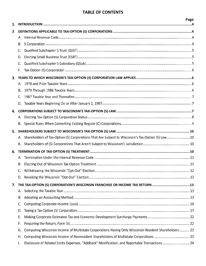# **TABLE OF CONTENTS**

<span id="page-1-0"></span>

| 1. |    |                                                                                                       | Page |
|----|----|-------------------------------------------------------------------------------------------------------|------|
| 2. |    |                                                                                                       |      |
|    | А. |                                                                                                       |      |
|    | В. |                                                                                                       |      |
|    | C. |                                                                                                       |      |
|    | D. |                                                                                                       |      |
|    | Е. |                                                                                                       |      |
|    | F. |                                                                                                       |      |
| 3. |    |                                                                                                       |      |
|    | А. |                                                                                                       |      |
|    | В. |                                                                                                       |      |
|    | C. |                                                                                                       |      |
|    | D. |                                                                                                       |      |
| 4. |    |                                                                                                       |      |
|    |    |                                                                                                       |      |
|    | В. |                                                                                                       |      |
| 5. |    |                                                                                                       |      |
|    |    | A. Shareholders of Tax-Option (S) Corporations That Are Subject to Wisconsin's Tax-Option (S) Law  10 |      |
|    | В. |                                                                                                       |      |
| 6. |    |                                                                                                       |      |
|    | А. |                                                                                                       |      |
|    | В. |                                                                                                       |      |
|    | C. |                                                                                                       |      |
|    | D. |                                                                                                       |      |
| 7. |    | THE TAX-OPTION (S) CORPORATION'S WISCONSIN FRANCHISE OR INCOME TAX RETURN 13                          |      |
|    | А. |                                                                                                       |      |
|    | В. |                                                                                                       |      |
|    | C. |                                                                                                       |      |
|    | D. |                                                                                                       |      |
|    | Е. |                                                                                                       |      |
|    | F. |                                                                                                       |      |
|    | G. | Computing Wisconsin Income of Multistate Corporations Having Only Wisconsin Resident Shareholders  23 |      |
|    | Н. |                                                                                                       |      |
|    | Ι. | Disclosure of Related Entity Expenses, "Addback" Modification, and Reportable Transactions 24         |      |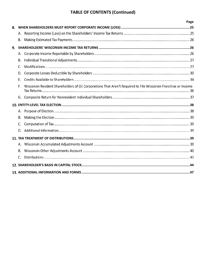# **TABLE OF CONTENTS (Continued)**

|    |    | Page                                                                                                           |  |
|----|----|----------------------------------------------------------------------------------------------------------------|--|
| 8. |    |                                                                                                                |  |
|    |    |                                                                                                                |  |
|    | В. |                                                                                                                |  |
| 9. |    |                                                                                                                |  |
|    | А. |                                                                                                                |  |
|    | В. |                                                                                                                |  |
|    | C. |                                                                                                                |  |
|    | D. |                                                                                                                |  |
|    | Ε. |                                                                                                                |  |
|    | F. | Wisconsin Resident Shareholders of (S) Corporations That Aren't Required to File Wisconsin Franchise or Income |  |
|    | G. |                                                                                                                |  |
|    |    |                                                                                                                |  |
|    |    |                                                                                                                |  |
|    | В. |                                                                                                                |  |
|    | C. |                                                                                                                |  |
|    | D. |                                                                                                                |  |
|    |    |                                                                                                                |  |
|    |    |                                                                                                                |  |
|    | В. |                                                                                                                |  |
|    | C. |                                                                                                                |  |
|    |    |                                                                                                                |  |
|    |    |                                                                                                                |  |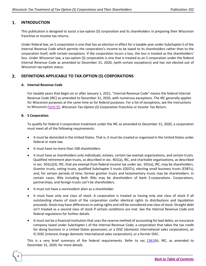### <span id="page-3-0"></span>1. **INTRODUCTION**

This publication is designed to assist a tax-option (S) corporation and its shareholders in preparing their Wisconsin franchise or income tax returns.

Under federal law, an S corporation is one that has an election in effect for a taxable year under Subchapter S of the Internal Revenue Code which permits the corporation's income to be taxed to its shareholders rather than to the corporation itself, with certain exceptions. If the corporation incurs a loss, the loss is treated as the shareholders' loss. Under Wisconsin law, a tax-option (S) corporation is one that is treated as an S corporation under the federal Internal Revenue Code as amended to December 31, 2020, (with certain exceptions) and has not elected out of Wisconsin tax-option status.

### <span id="page-3-1"></span>2. **DEFINITIONS APPLICABLE TO TAX-OPTION (S) CORPORATIONS**

### **A. Internal Revenue Code**

For taxable years that begin on or after January 1, 2021, "Internal Revenue Code" means the federal Internal Revenue Code (IRC) as amended to December 31, 2020, with numerous exceptions. The IRC generally applies for Wisconsin purposes at the same time as for federal purposes. For a list of exceptions, see the instructions to Wisconsin [Form 5S,](https://www.revenue.wi.gov/Pages/HTML/formpub.aspx) *Wisconsin Tax-Option (S) Corporation Franchise or Income Tax Return*.

# **B. S Corporation**

4

To qualify for federal S corporation treatment under the IRC as amended to December 31, 2020, a corporation must meet all of the following requirements:

- It must be domiciled in the United States. That is, it must be created or organized in the United States under federal or state law.
- It must have no more than 100 shareholders.
- It must have as shareholders only individuals, estates, certain tax-exempt organizations, and certain trusts. Qualified retirement plan trusts, as described in sec. 401(a), IRC, and charitable organizations, as described in sec. 501(c)(3), IRC, that are exempt from federal income tax under sec. 501(a), IRC, may be shareholders. Grantor trusts, voting trusts, qualified Subchapter S trusts (QSSTs), electing small business trusts (ESBTs), and, for certain periods of time, former grantor trusts and testamentary trusts may be shareholders. In certain cases, IRAs including Roth IRAs may be shareholders of bank S corporations. Corporations, partnerships, and foreign trusts can't be shareholders.
- It must not have a nonresident alien as a shareholder.
- It must have only one class of stock. A corporation is treated as having only one class of stock if all outstanding shares of stock of the corporation confer identical rights to distributions and liquidation proceeds. Stock may have differences in voting rights and still be considered one class of stock. Straight debt isn't treated as a second class of stock if certain conditions are met. See the Internal Revenue Code and federal regulations for further details.
- It must not be a financial institution that uses the reserve method of accounting for bad debts; an insurance company taxed under Subchapter L of the Internal Revenue Code; a corporation that takes the tax credit for doing business in a United States possession; or a DISC (domestic international sales corporation), an IC-DISC (interest charge domestic international sales corporation), or a former DISC.

This is a very brief summary of the federal requirements. Refer to sec. [1361\(](https://www.law.cornell.edu/uscode/text/26/1361)b), IRC, as amended to December 31, 2020, for more details.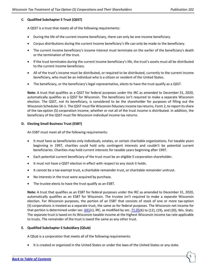### **C. Qualified Subchapter S Trust (QSST)**

A QSST is a trust that meets all of the following requirements:

- During the life of the current income beneficiary, there can only be one income beneficiary.
- Corpus distributions during the current income beneficiary's life can only be made to the beneficiary.
- The current income beneficiary's income interest must terminate on the earlier of the beneficiary's death or the termination of the trust.
- If the trust terminates during the current income beneficiary's life, the trust's assets must all be distributed to the current income beneficiary.
- All of the trust's income must be distributed, or required to be distributed, currently to the current income beneficiary, who must be an individual who is a citizen or resident of the United States.
- The beneficiary, or the beneficiary's legal representative, elects to have the trust qualify as a QSST.

**Note:** A trust that qualifies as a QSST for federal purposes under the IRC as amended to December 31, 2020, automatically qualifies as a QSST for Wisconsin. The beneficiary isn't required to make a separate Wisconsin election. The QSST, not its beneficiary, is considered to be the shareholder for purposes of filling out the Wisconsin Schedules 5K-1. The QSST must file Wisconsin fiduciary income tax returns, Form 2, to report its share of the tax-option (S) corporation income, whether or not all of the trust income is distributed. In addition, the beneficiary of the QSST must file Wisconsin individual income tax returns.

### **D. Electing Small Business Trust (ESBT)**

An ESBT must meet all of the following requirements:

- It must have as beneficiaries only individuals, estates, or certain charitable organizations. For taxable years beginning in 1997, charities could hold only contingent interests and couldn't be potential current beneficiaries. Charities may hold current interests for taxable years beginning after 1997.
- Each potential current beneficiary of the trust must be an eligible S corporation shareholder.
- It must not have a QSST election in effect with respect to any stock it holds.
- It cannot be a tax-exempt trust, a charitable remainder trust, or charitable remainder unitrust.
- No interests in the trust were acquired by purchase.
- The trustee elects to have the trust qualify as an ESBT.

**Note:** A trust that qualifies as an ESBT for federal purposes under the IRC as amended to December 31, 2020, automatically qualifies as an ESBT for Wisconsin. The trustee isn't required to make a separate Wisconsin election. For Wisconsin purposes, the portion of an ESBT that consists of stock of one or more tax-option (S) corporations is treated as a separate trust, the same as for federal purposes. The Wisconsin net income for that portion is determined under sec.  $641(c)$  $641(c)$ , IRC, as modified by sec.  $71.05(6)$  $71.05(6)$  to  $(12)$ ,  $(19)$ , and  $(20)$ , Wis. Stats. The separate trust is taxed on its Wisconsin taxable income at the highest Wisconsin income tax rate applicable to trusts. The remainder of the trust is taxed the same as any other trust.

### **E. Qualified Subchapter S Subsidiary (QSub)**

A QSub is a corporation that meets all of the following requirements:

• It is created or organized in the United States or under the laws of the United States or any state.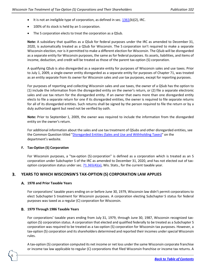- It is not an ineligible type of corporation, as defined in sec.  $1361(b)(2)$  $1361(b)(2)$ , IRC.
- 100% of its stock is held by an S corporation.
- The S corporation elects to treat the corporation as a QSub.

**Note:** A subsidiary that qualifies as a QSub for federal purposes under the IRC as amended to December 31, 2020, is automatically treated as a QSub for Wisconsin. The S corporation isn't required to make a separate Wisconsin election, nor is it permitted to make a different election for Wisconsin. The QSub will be disregarded as a separate entity for Wisconsin purposes, the same as for federal purposes. Its assets, liabilities, and items of income, deduction, and credit will be treated as those of the parent tax-option (S) corporation.

A qualifying QSub is also disregarded as a separate entity for purposes of Wisconsin sales and use taxes. Prior to July 1, 2009, a single-owner entity disregarded as a separate entity for purposes of Chapter 71, was treated as an entity separate from its owner for Wisconsin sales and use tax purposes, except for reporting purposes.

For purposes of reporting and collecting Wisconsin sales and use taxes, the owner of a QSub has the option to (1) include the information from the disregarded entity on the owner's return, or (2) file a separate electronic sales and use tax return for the disregarded entity. If an owner that owns more than one disregarded entity elects to file a separate return for one if its disregarded entities, the owner is required to file separate returns for all of its disregarded entities. Such returns shall be signed by the person required to file the return or by a duly authorized agent but need not be verified by oath.

**Note:** Prior to September 1, 2009, the owner was required to include the information from the disregarded entity on the owner's return.

For additional information about the sales and use tax treatment of QSubs and other disregarded entities, see the Common Question titled ["Disregarded Entities \(Sales and Use and Withholding Taxes\)"](https://www.revenue.wi.gov/Pages/FAQS/ise-disregent.aspx) on the department's website.

### **F. Tax-Option (S) Corporation**

For Wisconsin purposes, a "tax-option (S) corporation" is defined as a corporation which is treated as an S corporation under Subchapter S of the IRC as amended to December 31, 2020, and has not elected out of taxoption corporation status under sec.  $71.365(4)(a)$ , Wis. Stats., for the current taxable year.

### <span id="page-5-0"></span>3. **YEARS TO WHICH WISCONSIN'S TAX-OPTION (S) CORPORATION LAW APPLIES**

### **1978 and Prior Taxable Years**

For corporations' taxable years ending on or before June 30, 1979, Wisconsin law didn't permit corporations to elect Subchapter S treatment for Wisconsin purposes. A corporation electing Subchapter S status for federal purposes was taxed as a regular (C) corporation for Wisconsin.

### **1979 Through 1986 Taxable Years**

6

For corporations' taxable years ending from July 31, 1979, through June 30, 1987, Wisconsin recognized taxoption (S) corporation status. A corporation that elected and qualified federally to be treated as a Subchapter S corporation was required to be treated as a tax-option (S) corporation for Wisconsin tax purposes. However, a tax-option (S) corporation and its shareholders determined and reported their incomes under special Wisconsin rules.

A tax-option (S) corporation computed its net income or net loss under the same Wisconsin corporate franchise or income tax law applicable to regular (C) corporations that filed Wisconsin franchise or income tax returns. A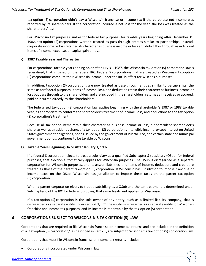7

tax-option (S) corporation didn't pay a Wisconsin franchise or income tax if the corporate net income was reported by its shareholders. If the corporation incurred a net loss for the year, the loss was treated as the shareholders' loss.

For Wisconsin tax purposes, unlike for federal tax purposes for taxable years beginning after December 31, 1982, tax-option (S) corporations weren't treated as pass-through entities similar to partnerships. Instead, corporate income or loss retained its character as business income or loss and didn't flow through as individual items of income, expense, or capital gain or loss.

### **1987 Taxable Year and Thereafter**

For corporations' taxable years ending on or after July 31, 1987, the Wisconsin tax-option (S) corporation law is federalized; that is, based on the federal IRC. Federal S corporations that are treated as Wisconsin tax-option (S) corporations compute their Wisconsin income under the IRC in effect for Wisconsin purposes.

In addition, tax-option (S) corporations are now treated as pass-through entities similar to partnerships, the same as for federal purposes. Items of income, loss, and deduction retain their character as business income or loss but pass through to the shareholders and are included in the shareholders' returns as if received or accrued, paid or incurred directly by the shareholders.

The federalized tax-option (S) corporation law applies beginning with the shareholder's 1987 or 1988 taxable year, as appropriate to conform the shareholder's treatment of income, loss, and deductions to the tax-option (S) corporation's treatment.

Because all tax-option items retain their character as business income or loss, a nonresident shareholder's share, as well as a resident's share, of a tax-option (S) corporation's intangible income, except interest on United States government obligations, bonds issued by the government of Puerto Rico, and certain state and municipal government bonds, continues to be taxable by Wisconsin.

### **Taxable Years Beginning On or After January 1, 1997**

If a federal S corporation elects to treat a subsidiary as a qualified Subchapter S subsidiary (QSub) for federal purposes, that election automatically applies for Wisconsin purposes. The QSub is disregarded as a separate corporation for Wisconsin purposes, and its assets, liabilities, and items of income, deduction, and credit are treated as those of the parent tax-option (S) corporation. If Wisconsin has jurisdiction to impose franchise or income taxes on the QSub, Wisconsin has jurisdiction to impose these taxes on the parent tax-option (S) corporation.

When a parent corporation elects to treat a subsidiary as a QSub and the tax treatment is determined under Subchapter C of the IRC for federal purposes, that same treatment applies for Wisconsin.

If a tax-option (S) corporation is the sole owner of any entity, such as a limited liability company, that is disregarded as a separate entity under sec. 7701, IRC, the entity is disregarded as a separate entity for Wisconsin franchise and income tax purposes, and its income is reportable by the tax-option (S) corporation.

### <span id="page-6-0"></span>4. **CORPORATIONS SUBJECT TO WISCONSIN'S TAX-OPTION (S) LAW**

Corporations that are required to file Wisconsin franchise or income tax returns and are included in the definition of a "tax-option (S) corporation," as described in Part 2.F, are subject to Wisconsin's tax-option (S) corporation law.

Corporations that must file Wisconsin franchise or income tax returns include:

• Corporations incorporated under Wisconsin law.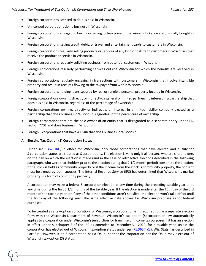- Foreign corporations licensed to do business in Wisconsin.
- Unlicensed corporations doing business in Wisconsin.
- Foreign corporations engaged in buying or selling lottery prizes if the winning tickets were originally bought in Wisconsin.
- Foreign corporations issuing credit, debit, or travel and entertainment cards to customers in Wisconsin.
- Foreign corporations regularly selling products or services of any kind or nature to customers in Wisconsin that receive the product or service in Wisconsin.
- Foreign corporations regularly soliciting business from potential customers in Wisconsin.
- Foreign corporations regularly performing services outside Wisconsin for which the benefits are received in Wisconsin.
- Foreign corporations regularly engaging in transactions with customers in Wisconsin that involve intangible property and result in receipts flowing to the taxpayer from within Wisconsin.
- Foreign corporations holding loans secured by real or tangible personal property located in Wisconsin.
- Foreign corporations owning, directly or indirectly, a general or limited partnership interest in a partnership that does business in Wisconsin, regardless of the percentage of ownership.
- Foreign corporations owning, directly or indirectly, an interest in a limited liability company treated as a partnership that does business in Wisconsin, regardless of the percentage of ownership.
- Foreign corporations that are the sole owner of an entity that is disregarded as a separate entity under IRC section 7701 and does business in Wisconsin.
- Foreign S corporations that have a QSub that does business in Wisconsin.

### **A. Electing Tax-Option (S) Corporation Status**

8

Under sec. [1362,](https://www.law.cornell.edu/uscode/text/26/1362) IRC, in effect for Wisconsin, only those corporations that have elected and qualify for S corporation status are treated as S corporations. The election is valid only if all persons who are shareholders on the day on which the election is made (and in the case of retroactive elections described in the following paragraph, who were shareholders prior to the election during that 2 1/2 month period) consent to the election. If the stock is held as community property or if the income from the stock is community property, the consent must be signed by both spouses. The Internal Revenue Service (IRS) has determined that Wisconsin's marital property is a form of community property.

A corporation may make a federal S corporation election at any time during the preceding taxable year or at any time during the first 2 1/2 months of the taxable year. If the election is made after the 15th day of the 3rd month of the taxable year, or if any of the other conditions aren't satisfied, the election won't take effect until the first day of the following year. The same effective date applies for Wisconsin purposes as for federal purposes.

To be treated as a tax-option corporation for Wisconsin, a corporation isn't required to file a separate election form with the Wisconsin Department of Revenue. Wisconsin's tax-option (S) corporation law automatically applies to a corporation under Wisconsin's jurisdiction for franchise or income tax purposes if it has an election in effect under Subchapter S of the IRC as amended to December 31, 2020, for a taxable year, unless the corporation has elected out of Wisconsin tax-option status under sec. [71.365\(4\)\(a\),](https://docs.legis.wisconsin.gov/statutes/statutes/71/v/365/4/a) Wis. Stats., as described in Part 6.B. However, if an S corporation has a QSub, neither the corporation nor the QSub may elect out of Wisconsin tax-option (S) status.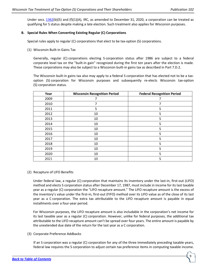Under secs.  $1362(b)(5)$  $1362(b)(5)$  and (f)(1)(A), IRC, as amended to December 31, 2020, a corporation can be treated as qualifying for S status despite making a late election. Such treatment also applies for Wisconsin purposes.

### **B. Special Rules When Converting Existing Regular (C) Corporations**

Special rules apply to regular (C) corporations that elect to be tax-option (S) corporations.

(1) Wisconsin Built-in Gains Tax

Generally, regular (C) corporations electing S corporation status after 1986 are subject to a federal corporate level tax on the "built-in gain" recognized during the first ten years after the election is made. These corporations may also be subject to a Wisconsin built-in gains tax as described in Part 7.D.2.

The Wisconsin built-in gains tax also may apply to a federal S corporation that has elected not to be a taxoption (S) corporation for Wisconsin purposes and subsequently re-elects Wisconsin tax-option (S) corporation status.

| Year | <b>Wisconsin Recognition Period</b> | <b>Federal Recognition Period</b> |
|------|-------------------------------------|-----------------------------------|
| 2009 |                                     |                                   |
| 2010 | ⇁                                   |                                   |
| 2011 | 5                                   | 5                                 |
| 2012 | 10                                  | 5                                 |
| 2013 | 10                                  | 5                                 |
| 2014 | 10                                  | 5                                 |
| 2015 | 10                                  | 5                                 |
| 2016 | 10                                  | 5                                 |
| 2017 | 10                                  | 5                                 |
| 2018 | 10                                  | 5                                 |
| 2019 | 10                                  | 5                                 |
| 2020 | 10                                  | 5                                 |
| 2021 | 10                                  | 5                                 |

### (2) Recapture of LIFO Benefits

Under federal law, a regular (C) corporation that maintains its inventory under the last-in, first-out (LIFO) method and elects S corporation status after December 17, 1987, must include in income for its last taxable year as a regular (C) corporation the "LIFO recapture amount." The LIFO recapture amount is the excess of the inventory's value under the first-in, first-out (FIFO) method over its LIFO value as of the close of its last year as a C corporation. The extra tax attributable to the LIFO recapture amount is payable in equal installments over a four-year period.

For Wisconsin purposes, the LIFO recapture amount is also includable in the corporation's net income for its last taxable year as a regular (C) corporation. However, unlike for federal purposes, the additional tax attributable to the LIFO recapture amount can't be spread over four years. The entire amount is payable by the unextended due date of the return for the last year as a C corporation.

(3) Corporate Preference Addbacks

If an S corporation was a regular (C) corporation for any of the three immediately preceding taxable years, federal law requires the S corporation to adjust certain tax preference items in computing taxable income.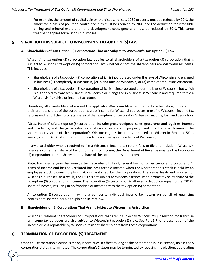For example, the amount of capital gain on the disposal of sec. 1250 property must be reduced by 20%, the amortizable basis of pollution control facilities must be reduced by 20%, and the deduction for intangible drilling and mineral exploration and development costs generally must be reduced by 30%. This same treatment applies for Wisconsin purposes.

### <span id="page-9-0"></span>5. **SHAREHOLDERS SUBJECT TO WISCONSIN'S TAX-OPTION (S) LAW**

### **Shareholders of Tax-Option (S) Corporations That Are Subject to Wisconsin's Tax-Option (S) Law**

Wisconsin's tax-option (S) corporation law applies to all shareholders of a tax-option (S) corporation that is subject to Wisconsin tax-option (S) corporation law, whether or not the shareholders are Wisconsin residents. This includes:

- Shareholders of a tax-option (S) corporation which is incorporated under the laws of Wisconsin and engaged in business (1) completely in Wisconsin, (2) in and outside Wisconsin, or (3) completely outside Wisconsin.
- Shareholders of a tax-option (S) corporation which isn't incorporated under the laws of Wisconsin but which is authorized to transact business in Wisconsin or is engaged in business in Wisconsin and required to file a Wisconsin franchise or income tax return.

Therefore, all shareholders who meet the applicable Wisconsin filing requirements, after taking into account their pro rata shares of the corporation's gross income for Wisconsin purposes, must file Wisconsin income tax returns and report their pro rata shares of the tax-option (S) corporation's items of income, loss, and deduction.

"Gross income" of a tax-option (S) corporation includes gross receipts or sales, gross rents and royalties, interest and dividends, and the gross sales price of capital assets and property used in a trade or business. The shareholder's share of the corporation's Wisconsin gross income is reported on Wisconsin Schedule 5K-1, line 20, column (d) (column (e) for nonresidents and part-year residents of Wisconsin).

If any shareholder who is required to file a Wisconsin income tax return fails to file and include in Wisconsin taxable income their share of tax-option items of income, the Department of Revenue may tax the tax-option (S) corporation on that shareholder's share of the corporation's net income.

**Note:** For taxable years beginning after December 31, 1997, federal law no longer treats an S corporation's items of income and loss as unrelated business taxable income when the S corporation's stock is held by an employee stock ownership plan (ESOP) maintained by the corporation. The same treatment applies for Wisconsin purposes. As a result, the ESOP is not subject to Wisconsin franchise or income tax on its share of the tax-option (S) corporation's income. The tax-option (S) corporation is allowed a deduction equal to the ESOP's share of income, resulting in no franchise or income tax to the tax-option (S) corporation.

A tax-option (S) corporation may file a composite individual income tax return on behalf of qualifying nonresident shareholders, as explained in Part 9.G.

### **Shareholders of (S) Corporations That Aren't Subject to Wisconsin's Jurisdiction**

Wisconsin resident shareholders of S corporations that aren't subject to Wisconsin's jurisdiction for franchise or income tax purposes are also subject to Wisconsin tax-option (S) law. See Part 9.F for a description of the income or loss reportable by Wisconsin resident shareholders from these corporations.

### <span id="page-9-1"></span>**TERMINATION OF TAX-OPTION (S) TREATMENT** 6.

10

Once an S corporation election is made, it continues in effect as long as the corporation is in existence, unless the S corporation status is terminated. The corporation's S status may be terminated by revoking the election, by violating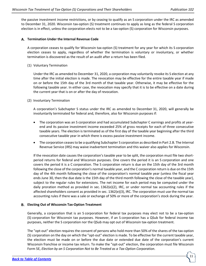the passive investment income restrictions, or by ceasing to qualify as an S corporation under the IRC as amended to December 31, 2020. Wisconsin tax-option (S) treatment continues to apply as long as the federal S corporation election is in effect, unless the corporation elects not to be a tax-option (S) corporation for Wisconsin purposes.

### **Termination Under the Internal Revenue Code**

A corporation ceases to qualify for Wisconsin tax-option (S) treatment for any year for which its S corporation election ceases to apply, regardless of whether the termination is voluntary or involuntary, or whether termination is discovered as the result of an audit after a return has been filed.

### (1) Voluntary Termination

Under the IRC as amended to December 31, 2020, a corporation may voluntarily revoke its S election at any time after the initial election is made. The revocation may be effective for the entire taxable year if made on or before the 15th day of the 3rd month of that taxable year. Otherwise, it may be effective for the following taxable year. In either case, the revocation may specify that it is to be effective on a date during the current year that is on or after the day of revocation.

# (2) Involuntary Termination

A corporation's Subchapter S status under the IRC as amended to December 31, 2020, will generally be involuntarily terminated for federal and, therefore, also for Wisconsin purposes if:

- The corporation was an S corporation and had accumulated Subchapter C earnings and profits at yearend and its passive investment income exceeded 25% of gross receipts for each of three consecutive taxable years. The election is terminated as of the first day of the taxable year beginning after the third consecutive taxable year in which there is excess passive investment income.
- The corporation ceases to be a qualifying Subchapter S corporation as described in Part 2.B. The Internal Revenue Service (IRS) may waive inadvertent termination and this waiver also applies for Wisconsin.

If the revocation date causes the corporation's taxable year to be split, the corporation must file two shortperiod returns for federal and Wisconsin purposes. One covers the period it is an S corporation and one covers the period it is a C corporation. The S corporation return is due on the 15th day of the 3rd month following the close of the corporation's normal taxable year, and the C corporation return is due on the 15th day of the 4th month following the close of the corporation's normal taxable year (unless the fiscal year ends June 30, then the due date is the 15th day of the third month following the close of the taxable year), subject to the regular rules for extensions. The net income for each period may be computed under the daily proration method as provided in sec. 1362(e)(2), IRC, or under normal tax accounting rules if the affected shareholders consent as provided in sec. 1362(e)(3), IRC. The corporation must use the normal tax accounting rules if there was a sale or exchange of 50% or more of the corporation's stock during the year.

### **Electing Out of Wisconsin Tax-Option Treatment**

Generally, a corporation that is an S corporation for federal tax purposes may elect not to be a tax-option (S) corporation for Wisconsin tax purposes. However, if an S corporation has a QSub for federal income tax purposes, neither the S corporation nor the QSub may opt out of Wisconsin tax-option treatment.

The "opt-out" election requires the consent of persons who hold more than 50% of the shares of the tax-option (S) corporation on the day on which the "opt-out" election is made. To be effective for the current taxable year, the election must be made on or before the due date or extended due date of the corporation's current Wisconsin franchise or income tax return. To make the "opt-out" election, the corporation must file Wisconsin Form 5E, *Election by an S Corporation Not to Be Treated as a Tax-Option Corporation*.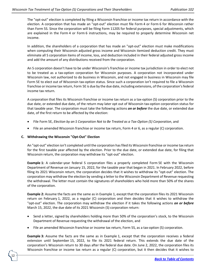The "opt-out" election is completed by filing a Wisconsin franchise or income tax return in accordance with the election. A corporation that has made an "opt-out" election must file Form 4 or Form 6 for Wisconsin rather than Form 5S. Since the corporation will be filing Form 1120S for federal purposes, special adjustments, which are explained in the Form 4 or Form 6 instructions, may be required to properly determine Wisconsin net income.

In addition, the shareholders of a corporation that has made an "opt-out" election must make modifications when computing their Wisconsin adjusted gross income and Wisconsin itemized deduction credit. They must eliminate all S corporation items of income, loss, and deduction included in their federal adjusted gross income and add the amount of any distributions received from the corporation.

An S corporation doesn't have to be under Wisconsin's franchise or income tax jurisdiction in order to elect not to be treated as a tax-option corporation for Wisconsin purposes. A corporation not incorporated under Wisconsin law, not authorized to do business in Wisconsin, and not engaged in business in Wisconsin may file Form 5E to elect out of Wisconsin tax-option status. Since such a corporation isn't required to file a Wisconsin franchise or income tax return, Form 5E is due by the due date, including extensions, of the corporation's federal income tax return.

A corporation that files its Wisconsin franchise or income tax return as a tax-option (S) corporation prior to the due date, or extended due date, of the return may later opt out of Wisconsin tax-option corporation status for that taxable year. The corporation must take the following actions *on or before* the due date, or extended due date, of the first return to be affected by the election:

- File Form 5E, *Election by an S Corporation Not to Be Treated as a Tax-Option (S) Corporation*, and
- File an amended Wisconsin franchise or income tax return, Form 4 or 6, as a regular (C) corporation.

### **C. Withdrawing the Wisconsin "Opt-Out" Election**

12

An "opt-out" election isn't completed until the corporation has filed its Wisconsin franchise or income tax return for the first taxable year affected by the election. Prior to the due date, or extended due date, for filing that Wisconsin return, the corporation may withdraw its "opt-out" election.

**Example 1:** A calendar-year federal S corporation files a properly completed Form 5E with the Wisconsin Department of Revenue on January 15, 2022, for the taxable year that began in 2021. In February 2022, before filing its 2021 Wisconsin return, the corporation decides that it wishes to withdraw its "opt-out" election. The corporation may withdraw the election by sending a letter to the Wisconsin Department of Revenue requesting the withdrawal. The letter must contain the signatures of shareholders who hold more than 50% of the shares of the corporation.

**Example 2:** Assume the facts are the same as in Example 1, except that the corporation files its 2021 Wisconsin return on February 1, 2022, as a regular (C) corporation and then decides that it wishes to withdraw the "opt-out" election. The corporation may withdraw the election if it takes the following actions *on or before* March 15, 2022, the due date of its 2021 Wisconsin (S) corporation return:

- Send a letter, signed by shareholders holding more than 50% of the corporation's stock, to the Wisconsin Department of Revenue requesting the withdrawal of the election, and
- File an amended Wisconsin franchise or income tax return, Form 5S, as a tax-option (S) corporation.

**Example 3:** Assume the facts are the same as in Example 1, except that the corporation receives a federal extension until September 15, 2022, to file its 2021 federal return. This extends the due date of the corporation's Wisconsin return to 30 days after the federal due date. On June 2, 2022, the corporation files its Wisconsin franchise or income tax return as a regular (C) corporation, but it then decides that it wishes to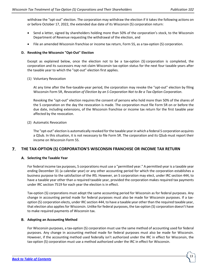withdraw the "opt-out" election. The corporation may withdraw the election if it takes the following actions on or before October 17, 2022, the extended due date of its Wisconsin (S) corporation return:

- Send a letter, signed by shareholders holding more than 50% of the corporation's stock, to the Wisconsin Department of Revenue requesting the withdrawal of the election, and
- File an amended Wisconsin franchise or income tax return, Form 5S, as a tax-option (S) corporation.

### **D. Revoking the Wisconsin "Opt-Out" Election**

Except as explained below, once the election not to be a tax-option (S) corporation is completed, the corporation and its successors may not claim Wisconsin tax-option status for the next four taxable years after the taxable year to which the "opt-out" election first applies.

### (1) Voluntary Revocation

At any time after the five-taxable-year period, the corporation may revoke the "opt-out" election by filing Wisconsin Form 5R, *Revocation of Election by an S Corporation Not to Be a Tax-Option Corporation*.

Revoking the "opt-out" election requires the consent of persons who hold more than 50% of the shares of the S corporation on the day the revocation is made. The corporation must file Form 5R on or before the due date, including extensions, of the Wisconsin franchise or income tax return for the first taxable year affected by the revocation.

### (2) Automatic Revocation

The "opt-out" election is automatically revoked for the taxable year in which a federal S corporation acquires a QSub. In this situation, it is not necessary to file Form 5R. The corporation and its QSub must report their income on Wisconsin Form 5S.

### <span id="page-12-0"></span>7. **THE TAX-OPTION (S) CORPORATION'S WISCONSIN FRANCHISE OR INCOME TAX RETURN**

### **Selecting the Taxable Year**

For federal income tax purposes, S corporations must use a "permitted year." A permitted year is a taxable year ending December 31 (a calendar year) or any other accounting period for which the corporation establishes a business purpose to the satisfaction of the IRS. However, an S corporation may elect, under IRC section 444, to have a taxable year other than a required taxable year, provided the corporation makes required tax payments under IRC section 7519 for each year the election is in effect.

Tax-option (S) corporations must adopt the same accounting period for Wisconsin as for federal purposes. Any change in accounting period made for federal purposes must also be made for Wisconsin purposes. If a taxoption (S) corporation elects, under IRC section 444, to have a taxable year other than the required taxable year, that election also applies for Wisconsin. Unlike for federal purposes, the tax-option (S) corporation doesn't have to make required payments of Wisconsin tax.

### **Adopting an Accounting Method**

For Wisconsin purposes, a tax-option (S) corporation must use the same method of accounting used for federal purposes. Any change in accounting method made for federal purposes must also be made for Wisconsin. However, if the accounting method used federally isn't authorized under the IRC in effect for Wisconsin, the tax-option (S) corporation must use a method authorized under the IRC in effect for Wisconsin.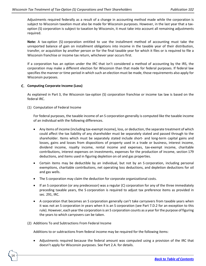Adjustments required federally as a result of a change in accounting method made while the corporation is subject to Wisconsin taxation must also be made for Wisconsin purposes. However, in the last year that a taxoption (S) corporation is subject to taxation by Wisconsin, it must take into account all remaining adjustments required.

**Note:** A tax-option (S) corporation entitled to use the installment method of accounting must take the unreported balance of gain on installment obligations into income in the taxable year of their distribution, transfer, or acquisition by another person or for the final taxable year for which it files or is required to file a Wisconsin franchise or income tax return, whichever year occurs first.

If a corporation has an option under the IRC that isn't considered a method of accounting by the IRS, the corporation may make a different election for Wisconsin than that made for federal purposes. If federal law specifies the manner or time period in which such an election must be made, those requirements also apply for Wisconsin purposes.

### **C.** Computing Corporate Income (Loss)

As explained in Part 3, the Wisconsin tax-option (S) corporation franchise or income tax law is based on the federal IRC.

(1) Computation of Federal Income

For federal purposes, the taxable income of an S corporation generally is computed like the taxable income of an individual with the following differences.

- Any items of income (including tax-exempt income), loss, or deduction, the separate treatment of which could affect the tax liability of any shareholder must be separately stated and passed through to the shareholder. Items which must be separately stated include short- and long-term capital gains and losses, gains and losses from dispositions of property used in a trade or business, interest income, dividend income, royalty income, rental income and expenses, tax-exempt income, charitable contributions, interest expenses on investments, expenses for the production of income, section 179 deductions, and items used in figuring depletion on oil and gas properties.
- Certain items may be deductible by an individual, but not by an S corporation, including personal exemptions, charitable contributions, net operating loss deductions, and depletion deductions for oil and gas wells.
- The S corporation may claim the deduction for corporate organizational costs.
- If an S corporation (or any predecessor) was a regular (C) corporation for any of the three immediately preceding taxable years, the S corporation is required to adjust tax preference items as provided in sec. 291, IRC.
- A corporation that becomes an S corporation generally can't take carryovers from taxable years when it was not an S corporation in years when it is an S corporation (see Part 7.D.2 for an exception to this rule). However, each year the corporation is an S corporation counts as a year for the purpose of figuring the years to which carryovers can be taken.
- (2) Additions To and Subtractions From Federal Income

14

Additions to or subtractions from federal income may be required for the following items:

• Adjustments required because the federal amount was computed using a provision of the IRC that doesn't apply for Wisconsin purposes. See Part 2.A. for details.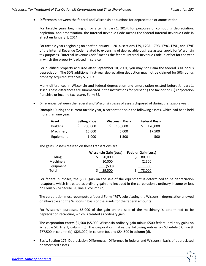• Differences between the federal and Wisconsin deductions for depreciation or amortization.

For taxable years beginning on or after January 1, 2014, for purposes of computing depreciation, depletion, and amortization, the Internal Revenue Code means the federal Internal Revenue Code in effect **on** January 1, 2014.

For taxable years beginning on or after January 1, 2014, sections 179, 179A, 179B, 179C, 179D, and 179E of the Internal Revenue Code, related to expensing of depreciable business assets, apply for Wisconsin tax purposes. "Internal Revenue Code" means the federal Internal Revenue Code in effect for the year in which the property is placed in service.

For qualified property acquired after September 10, 2001, you may not claim the federal 30% bonus depreciation. The 50% additional first-year depreciation deduction may not be claimed for 50% bonus property acquired after May 5, 2003.

Many differences in Wisconsin and federal depreciation and amortization existed before January 1, 1987. These differences are summarized in the instructions for preparing the tax-option (S) corporation franchise or income tax return, Form 5S.

• Differences between the federal and Wisconsin bases of assets disposed of during the taxable year.

**Example:** During the current taxable year, a corporation sold the following assets, which had been held more than one year:

| Asset           | <b>Selling Price</b> | <b>Wisconsin Basis</b> | <b>Federal Basis</b> |
|-----------------|----------------------|------------------------|----------------------|
| <b>Building</b> | $S = 200.000$        | 150.000                | 120,000              |
| Machinery       | 15.000               | 5.000                  | 17.500               |
| Equipment       | 1.000                | 1,500                  | 500                  |

The gains (losses) realized on these transactions are —

|                 | <b>Wisconsin Gain (Loss)</b> |        | <b>Federal Gain (Loss)</b> |         |
|-----------------|------------------------------|--------|----------------------------|---------|
| <b>Building</b> |                              | 50,000 |                            | 80,000  |
| Machinery       |                              | 10.000 |                            | (2,500) |
| Equipment       |                              | (500)  |                            | 500     |
| Total           |                              | 59.500 |                            | 78.000  |

For federal purposes, the \$500 gain on the sale of the equipment is determined to be depreciation recapture, which is treated as ordinary gain and included in the corporation's ordinary income or loss on Form 5S, Schedule 5K, line 1, column (b).

The corporation must recompute a federal Form 4797, substituting the Wisconsin depreciation allowed or allowable and the Wisconsin basis of the assets for the federal amounts.

For Wisconsin purposes, \$5,000 of the gain on the sale of the machinery is determined to be depreciation recapture, which is treated as ordinary gain.

The corporation enters \$4,500 (\$5,000 Wisconsin ordinary gain minus \$500 federal ordinary gain) on Schedule 5K, line 1, column (c). The corporation makes the following entries on Schedule 5K, line 9: \$77,500 in column (b), \$(23,000) in column (c), and \$54,500 in column (d).

• Basis, Section 179, Depreciation Differences - Difference in federal and Wisconsin basis of depreciated or amortized assets.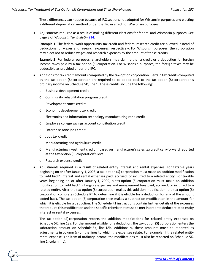These differences can happen because of IRC sections not adopted for Wisconsin purposes and electing a different depreciation method under the IRC in effect for Wisconsin purposes.

• Adjustments required as a result of making different elections for federal and Wisconsin purposes. See page 8 of *Wisconsin Tax Bulletin* [214.](https://www.revenue.wi.gov/WisconsinTaxBulletin/214-07-21-WTB.pdf)

**Example 1:** The federal work opportunity tax credit and federal research credit are allowed instead of deductions for wages and research expenses, respectively. For Wisconsin purposes, the corporation may elect not to reduce wages and research expenses by the amount of these credits.

**Example 2:** For federal purposes, shareholders may claim either a credit or a deduction for foreign income taxes paid by a tax-option (S) corporation. For Wisconsin purposes, the foreign taxes may be deductible as provided under the IRC.

- Additions for tax credit amounts computed by the tax-option corporation. Certain tax credits computed by the tax-option (S) corporation are required to be added back to the tax-option (S) corporation's ordinary income on Schedule 5K, line 1. These credits include the following:
	- o Business development credit
	- o Community rehabilitation program credit
	- o Development zones credits
	- o Economic development tax credit
	- o Electronics and information technology manufacturing zone credit
	- o Employee college savings account contribution credit
	- o Enterprise zone jobs credit
	- o Jobs tax credit

16

- o Manufacturing and agriculture credit
- o Manufacturing investment credit (if based on manufacturer's sales tax credit carryforward reported at the tax-option (S) corporation's level)
- o Research expense credit
- Adjustments required as a result of related entity interest and rental expenses. For taxable years beginning on or after January 1, 2008, a tax-option (S) corporation must make an addition modification to "add back" interest and rental expenses paid, accrued, or incurred to a related entity. For taxable years beginning on or after January 1, 2009, a tax-option (S) corporation must make an addition modification to "add back" intangible expenses and management fees paid, accrued, or incurred to a related entity. After the tax-option (S) corporation makes this addition modification, the tax-option (S) corporation completes Schedule RT to determine if it is eligible for a deduction for any of the amount added back. The tax-option (S) corporation then makes a subtraction modification in the amount for which it is eligible for a deduction. The Schedule RT instructions contain further details of the expenses that require this modification and the specific criteria that must be met in order to deduct related entity interest or rental expenses.

The tax-option (S) corporation reports the addition modifications for related entity expenses on Schedule 5K, line 18a. For the amount eligible for a deduction, the tax-option (S) corporation enters the subtraction amount on Schedule 5K, line 18b. Additionally, these amounts must be reported as adjustments in column (c) on the lines to which the expenses relate. For example, if the related entity rental expense is an item of ordinary income, the modifications must also be reported on Schedule 5K, line 1, column (c).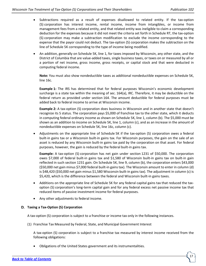- Subtractions required as a result of expenses disallowed to related entity. If the tax-option (S) corporation has interest income, rental income, income from intangibles, or income from management fees from a related entity, and that related entity was ineligible to claim a corresponding deduction for the expenses because it did not meet the criteria set forth in Schedule RT, the tax-option (S) corporation may make a subtraction modification to exclude the income corresponding to the expense that the payor could not deduct. The tax-option (S) corporation makes the subtraction on the line of Schedule 5K corresponding to the type of income being modified.
- An addition, generally on Schedule 5K, line 1, for taxes imposed by Wisconsin, any other state, and the District of Columbia that are value-added taxes, single business taxes, or taxes on or measured by all or a portion of net income, gross income, gross receipts, or capital stock and that were deducted in computing federal income.

**Note:** You must also show nondeductible taxes as additional nondeductible expenses on Schedule 5K, line 16c.

**Example 1:** The IRS has determined that for federal purposes Wisconsin's economic development surcharge is a state tax within the meaning of sec. 164(a), IRC. Therefore, it may be deductible on the federal return as provided under section 164. The amount deductible for federal purposes must be added back to federal income to arrive at Wisconsin income.

**Example 2:** A tax-option (S) corporation does business in Wisconsin and in another state that doesn't recognize its S status. The corporation pays \$5,000 of franchise tax to the other state, which it deducts in computing federal ordinary income as shown on Schedule 5K, line 1, column (b). The \$5,000 must be shown as an addition to income on Schedule 5K, line 1, column (c), and as an increase in the amount of nondeductible expenses on Schedule 5K, line 16c, column (c).

• Adjustments on the appropriate line of Schedule 5K if the tax-option (S) corporation owes a federal built-in gains tax or a Wisconsin built-in gains tax. For Wisconsin purposes, the gain on the sale of an asset is reduced by any Wisconsin built-in gains tax paid by the corporation on that asset. For federal purposes, however, the gain is reduced by the federal built-in gains tax.

**Example:** A tax-option (S) corporation has net gain under section 1231 of \$50,000. The corporation owes \$7,000 of federal built-in gains tax and \$1,580 of Wisconsin built-in gains tax on built-in gain reflected in such section 1231 gain. On Schedule 5K, line 9, column (b), the corporation enters \$43,000 (\$50,000 net gain minus \$7,000 federal built-in gains tax). The Wisconsin amount to enter in column (d) is \$48,420 (\$50,000 net gain minus \$1,580 Wisconsin built-in gains tax). The adjustment in column (c) is \$5,420, which is the difference between the federal and Wisconsin built-in gains taxes.

- Additions on the appropriate line of Schedule 5K for any federal capital gains tax that reduced the taxoption (S) corporation's long-term capital gain and for any federal excess net passive income tax that reduced items of passive investment income for federal purposes.
- Any other adjustments to federal income.

### **Taxing a Tax-Option (S) Corporation**

A tax-option (S) corporation is subject to a franchise or income tax only in the following instances.

(1) Franchise Tax Measured by Federal, State, and Municipal Government Interest

A tax-option (S) corporation is subject to a franchise tax measured by interest income received from the following obligations:

• Obligations of the United States government and its instrumentalities.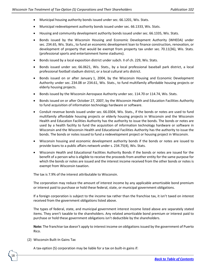- Municipal housing authority bonds issued under sec. 66.1201, Wis. Stats.
- Municipal redevelopment authority bonds issued under sec. 66.1333, Wis. Stats.
- Housing and community development authority bonds issued under sec. 66.1335, Wis. Stats.
- Bonds issued by the Wisconsin Housing and Economic Development Authority (WHEDA) under sec. 234.65, Wis. Stats., to fund an economic development loan to finance construction, renovation, or development of property that would be exempt from property tax under sec. 70.11(36), Wis. Stats. (professional sports and entertainment home stadiums).
- Bonds issued by a local exposition district under subch. II of ch. 229, Wis. Stats.
- Bonds issued under sec. 66.0621, Wis. Stats., by a local professional baseball park district, a local professional football stadium district, or a local cultural arts district.
- Bonds issued on or after January 1, 2004, by the Wisconsin Housing and Economic Development Authority under sec. 234.08 or 234.61, Wis. Stats., to fund multifamily affordable housing projects or elderly housing projects.
- Bonds issued by the Wisconsin Aerospace Authority under sec. 114.70 or 114.74, Wis. Stats.
- Bonds issued on or after October 27, 2007, by the Wisconsin Health and Education Facilities Authority to fund acquisition of information technology hardware or software.
- Conduit revenue bonds issued under sec. 66.0304, Wis. Stats., if the bonds or notes are used to fund multifamily affordable housing projects or elderly housing projects in Wisconsin and the Wisconsin Health and Education Facilities Authority has the authority to issue the bonds. The bonds or notes are used by a health facility to fund the acquisition of information technology hardware or software in Wisconsin and the Wisconsin Health and Educational Facilities Authority has the authority to issue the bonds. The bonds or notes issued to fund a redevelopment project or housing project in Wisconsin.
- Wisconsin housing and economic development authority bonds if the bonds or notes are issued to provide loans to a public affairs network under s. 234.75(4), Wis. Stats.
- Wisconsin Health and Educational Facilities Authority Bonds if the bonds or notes are issued for the benefit of a person who is eligible to receive the proceeds from another entity for the same purpose for which the bonds or notes are issued and the interest income received from the other bonds or notes is exempt from Wisconsin taxation.

The tax is 7.9% of the interest attributable to Wisconsin.

The corporation may reduce the amount of interest income by any applicable amortizable bond premium or interest paid to purchase or hold these federal, state, or municipal government obligations.

If a foreign corporation is subject to the income tax rather than the franchise tax, it isn't taxed on interest received from the government obligations listed above.

The types of federal, state, and municipal government interest income listed above are separately stated items. They aren't taxable to the shareholders. Any related amortizable bond premium or interest paid to purchase or hold these government obligations isn't deductible by the shareholders.

**Note:** The franchise tax doesn't apply to interest income on obligations issued by the government of Puerto Rico.

(2) Wisconsin Built-In Gains Tax

18

A tax-option (S) corporation may be liable for a tax on built-in gains if: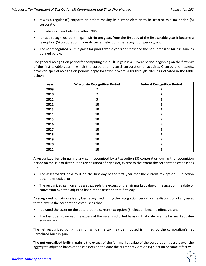- It was a regular (C) corporation before making its current election to be treated as a tax-option (S) corporation,
- It made its current election after 1986,
- It has a recognized built-in gain within ten years from the first day of the first taxable year it became a tax-option (S) corporation under its current election (the recognition period), and
- The net recognized built-in gains for prior taxable years don't exceed the net unrealized built-in gain, as defined below.

The general recognition period for computing the built-in gain is a 10 year period beginning on the first day of the first taxable year in which the corporation is an S corporation or acquires C corporation assets; however, special recognition periods apply for taxable years 2009 through 2021 as indicated in the table below:

| Year | <b>Wisconsin Recognition Period</b> | <b>Federal Recognition Period</b> |
|------|-------------------------------------|-----------------------------------|
| 2009 |                                     | 7                                 |
| 2010 | 7                                   | 7                                 |
| 2011 | 5                                   | 5                                 |
| 2012 | 10                                  | 5                                 |
| 2013 | 10                                  | 5                                 |
| 2014 | 10                                  | 5                                 |
| 2015 | 10                                  | 5                                 |
| 2016 | 10                                  | 5                                 |
| 2017 | 10                                  | 5                                 |
| 2018 | 10                                  | 5                                 |
| 2019 | 10                                  | 5                                 |
| 2020 | 10                                  | 5                                 |
| 2021 | 10                                  | 5                                 |

A **recognized built-in gain** is any gain recognized by a tax-option (S) corporation during the recognition period on the sale or distribution (disposition) of any asset, except to the extent the corporation establishes that:

- The asset wasn't held by it on the first day of the first year that the current tax-option (S) election became effective, or
- The recognized gain on any asset exceeds the excess of the fair market value of the asset on the date of conversion over the adjusted basis of the asset on that first day.

A **recognized built-in loss**is any loss recognized during the recognition period on the disposition of any asset to the extent the corporation establishes that —

- It owned the asset on the date that the current tax-option (S) election became effective, and
- The loss doesn't exceed the excess of the asset's adjusted basis on that date over its fair market value at that time.

The net recognized built-in gain on which the tax may be imposed is limited by the corporation's net unrealized built-in gain.

The **net unrealized built-in gain** is the excess of the fair market value of the corporation's assets over the aggregate adjusted bases of those assets on the date the current tax-option (S) election became effective.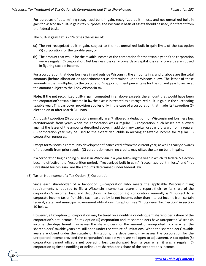For purposes of determining recognized built-in gain, recognized built-in loss, and net unrealized built-in gain for Wisconsin built-in gains tax purposes, the Wisconsin basis of assets should be used, if different from the federal basis.

The built-in gains tax is 7.9% times the lesser of:

- (a) The net recognized built-in gain, subject to the net unrealized built-in gain limit, of the tax-option (S) corporation for the taxable year, or
- (b) The amount that would be the taxable income of the corporation for the taxable year if the corporation were a regular (C) corporation. Net business loss carryforwards or capital loss carryforwards aren't used in figuring taxable income.

For a corporation that does business in and outside Wisconsin, the amounts in a. and b. above are the total amounts (before allocation or apportionment) as determined under Wisconsin law. The lesser of these amounts is then multiplied by the corporation's apportionment percentage for the current year to arrive at the amount subject to the 7.9% Wisconsin tax.

**Note:** If the net recognized built-in gain computed in **a.** above exceeds the amount that would have been the corporation's taxable income in **b.,** the excess is treated as a recognized built-in gain in the succeeding taxable year. This carryover provision applies only in the case of a corporation that made its tax-option (S) election on or after March 31, 1988.

Although tax-option (S) corporations normally aren't allowed a deduction for Wisconsin net business loss carryforwards from years when the corporation was a regular (C) corporation, such losses are allowed against the lesser of the amounts described above. In addition, any capital loss carryforward from a regular (C) corporation year may be used to the extent deductible in arriving at taxable income for regular (C) corporation purposes.

Except for Wisconsin community development finance credit from the current year, as well as carryforwards of that credit from prior regular (C) corporation years, no credits may offset the tax on built-in gains.

If a corporation begins doing business in Wisconsin in a year following the year in which its federal S election became effective, the "recognition period," "recognized built-in gain," "recognized built-in loss," and "net unrealized built-in gain" are the amounts determined under federal law.

(3) Tax on Net Income of a Tax-Option (S) Corporation

20

Since each shareholder of a tax-option (S) corporation who meets the applicable Wisconsin filing requirements is required to file a Wisconsin income tax return and report their, or its share of the corporation's income, loss, and deductions, a tax-option (S) corporation generally isn't subject to a corporate income tax or franchise tax measured by its net income, other than interest income from certain federal, state, and municipal government obligations. Exception: see "Entity-Level Tax Election" in section 10 below.

However, a tax-option (S) corporation may be taxed on a nonfiling or delinquent shareholder's share of the corporation's net income. If a tax-option (S) corporation and its shareholders have unreported Wisconsin income, the department may assess the shareholders for the amount of unreported income when the shareholders' taxable years are still open under the statute of limitations. When the shareholders' taxable years are closed under the statute of limitations, the department may assess the corporation for the unreported income provided the corporation's taxable years are still open to adjustment. A tax-option (S) corporation cannot offset a net operating loss carryforward from a year when it was a regular (C) corporation against a nonfiling or delinquent shareholder's share of the corporation's income.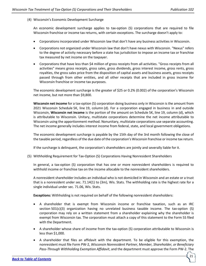(4) Wisconsin's Economic Development Surcharge

An economic development surcharge applies to tax-option (S) corporations that are required to file Wisconsin franchise or income tax returns, with certain exceptions. The surcharge doesn't apply to:

- Corporations incorporated under Wisconsin law that don't have any business activities in Wisconsin.
- Corporations not organized under Wisconsin law that don't have nexus with Wisconsin. "Nexus" refers to the degree of activity necessary before a state has jurisdiction to impose an income tax or franchise tax measured by net income on the taxpayer.
- Corporations that have less than \$4 million of gross receipts from all activities. "Gross receipts from all activities" means gross receipts, gross sales, gross dividends, gross interest income, gross rents, gross royalties, the gross sales price from the disposition of capital assets and business assets, gross receipts passed through from other entities, and all other receipts that are included in gross income for Wisconsin franchise or income tax purposes.

The economic development surcharge is the greater of \$25 or 0.2% (0.002) of the corporation's Wisconsin net income, but not more than \$9,800.

**Wisconsin net income** for a tax-option (S) corporation doing business only in Wisconsin is the amount from 2021 Wisconsin Schedule 5K, line 19, column (d). For a corporation engaged in business in and outside Wisconsin, **Wisconsin net income** is the portion of the amount on Schedule 5K, line 19, column (d), which is attributable to Wisconsin. Unitary, multistate corporations determine the net income attributable to Wisconsin using the apportionment method. Nonunitary, multistate corporations use separate accounting. The net income generally includes interest income from federal, state, and local government obligations.

The economic development surcharge is payable by the 15th day of the 3rd month following the close of the taxable period, regardless of the due date of the corporation's Wisconsin franchise or income tax return.

If the surcharge is delinquent, the corporation's shareholders are jointly and severally liable for it.

(5) Withholding Requirement for Tax-Option (S) Corporations Having Nonresident Shareholders

In general, a tax-option (S) corporation that has one or more nonresident shareholders is required to withhold income or franchise tax on the income allocable to the nonresident shareholders.

A nonresident shareholder includes an individual who is not domiciled in Wisconsin and an estate or a trust that is a nonresident under sec. 71.14(1) to (3m), Wis. Stats. The withholding rate is the highest rate for a single individual under sec. 71.06, Wis. Stats.

**Exceptions:** Withholding is not required on behalf of the following nonresident shareholders:

- A shareholder that is exempt from Wisconsin income or franchise taxation, such as an IRC section  $501(c)(3)$  organization having no unrelated business taxable income. The tax-option (S) corporation may rely on a written statement from a shareholder explaining why the shareholder is exempt from Wisconsin tax. The corporation must attach a copy of this statement to the Form 5S filed with the Department.
- A shareholder whose share of income from the tax-option (S) corporation attributable to Wisconsin is less than \$1,000.
- A shareholder that files an affidavit with the department. To be eligible for this exemption, the nonresident must file Form PW-2, *Wisconsin Nonresident Partner, Member, Shareholder, or Beneficiary Pass-Through Withholding Exemption Affidavit*, and the department must approve the Form PW-2. The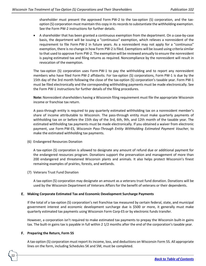shareholder must present the approved Form PW-2 to the tax-option (S) corporation, and the taxoption (S) corporation must maintain this copy in its records to substantiate the withholding exemption. See the Form PW-2 instructions for further details.

• A shareholder that has been granted a continuous exemption from the department. On a case-by-case basis, the department will be issuing a "continuous" exemption, which relieves a nonresident of the requirement to file Form PW-2 in future years. As a nonresident may not apply for a "continuous" exemption, there is no change in how Form PW-2 is filed. Exemptions will be issued using criteria similar to that used to approve Form PW-2. The exemption will be reviewed annually to ensure the nonresident is paying estimated tax and filing returns as required. Noncompliance by the nonresident will result in revocation of the exemption.

The tax-option (S) corporation uses Form PW-1 to pay the withholding and to report any nonresident members who have filed Form PW-2 affidavits. For tax-option (S) corporations, Form PW-1 is due by the 15th day of the 3rd month following the close of the tax-option (S) corporation's taxable year. Form PW-1 must be filed electronically and the corresponding withholding payments must be made electronically. See the Form PW-1 instructions for further details of the filing procedures.

**Note:** Nonresident shareholders having a Wisconsin filing requirement must file the appropriate Wisconsin income or franchise tax return.

A pass-through entity is required to pay quarterly estimated withholding tax on a nonresident member's share of income attributable to Wisconsin. The pass-through entity must make quarterly payments of withholding tax on or before the 15th day of the 3rd, 6th, 9th, and 12th month of the taxable year. The estimated withholding tax payments must be made electronically. If you obtained a waiver from electronic payment, use Form PW-ES, *Wisconsin Pass-Through Entity Withholding Estimated Payment Voucher*, to make the estimated withholding tax payments.

(6) Endangered Resources Donation

A tax-option (S) corporation is allowed to designate any amount of refund due or additional payment for the endangered resources program. Donations support the preservation and management of more than 200 endangered and threatened Wisconsin plants and animals. It also helps protect Wisconsin's finest remaining examples of prairies, forests, and wetlands.

(7) Veterans Trust Fund Donation

A tax-option (S) corporation may designate an amount as a veterans trust fund donation. Donations will be used by the Wisconsin Department of Veterans Affairs for the benefit of veterans or their dependents.

### **Making Corporate Estimated Tax and Economic Development Surcharge Payments**

If the total of a tax-option (S) corporation's net franchise tax measured by certain federal, state, and municipal government interest and economic development surcharge due is \$500 or more, it generally must make quarterly estimated tax payments using Wisconsin Form Corp-ES or by electronic funds transfer.

However, a corporation isn't required to make estimated tax payments to prepay the Wisconsin built-in gains tax. The built-in gains tax is payable in full within 2 1/2 months after the end of the corporation's taxable year.

### **Preparing the Return, Form 5S**

22

A tax-option (S) corporation must report its income, loss, and deductions on Wisconsin Form 5S. All appropriate lines on the form, including Schedules 5K and 5M, must be completed.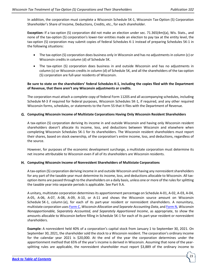In addition, the corporation must complete a Wisconsin Schedule 5K-1, Wisconsin Tax-Option (S) Corporation Shareholder's Share of Income, Deductions, Credits, etc., for each shareholder.

**Exception:** If a tax-option (S) corporation did not make an election under sec. 71.365(4m)(a), Wis. Stats., and none of the tax-option (S) corporation's lower-tier entities made an election to pay tax at the entity level, the tax-option (S) corporation may submit copies of federal Schedules K-1 instead of preparing Schedules 5K-1 in the following situations:

- The tax-option (S) corporation does business only in Wisconsin and has no adjustments in column (c) or Wisconsin credits in column (d) of Schedule 5K.
- The tax-option (S) corporation does business in and outside Wisconsin and has no adjustments in column (c) or Wisconsin credits in column (d) of Schedule 5K, and all the shareholders of the tax-option (S) corporation are full-year residents of Wisconsin.

# **Be sure to state on the shareholders' federal Schedules K-1, including the copies filed with the Department of Revenue, that there aren't any Wisconsin adjustments or credits.**

The corporation must attach a complete copy of federal Form 1120S and all accompanying schedules, including Schedule M-3 if required for federal purposes, Wisconsin Schedules 5K-1, if required, and any other required Wisconsin forms, schedules, or statements to the Form 5S that it files with the Department of Revenue.

### **Computing Wisconsin Income of Multistate Corporations Having Only Wisconsin Resident Shareholders**

A tax-option (S) corporation deriving its income in and outside Wisconsin and having only Wisconsin resident shareholders doesn't allocate its income, loss, and deductions between Wisconsin and elsewhere when completing Wisconsin Schedules 5K-1 for its shareholders. The Wisconsin resident shareholders must report their shares, based on stock ownership, of the corporation's entire income, loss, and deductions, regardless of the source.

However, for purposes of the economic development surcharge, a multistate corporation must determine its net income attributable to Wisconsin even if all of its shareholders are Wisconsin residents.

### **Computing Wisconsin Income of Nonresident Shareholders of Multistate Corporations**

A tax-option (S) corporation deriving income in and outside Wisconsin and having any nonresident shareholders for any part of the taxable year must determine its income, loss, and deductions allocable to Wisconsin. All taxoption items are passed through to the shareholders on a daily basis, unless one or more of the rules for splitting the taxable year into separate periods is applicable. See Part 9.A.

A unitary, multistate corporation determines its apportionment percentage on Schedule A-01, A-02, A-03, A-04, A-05, A-06, A-07, A-08, A-09, A-10, or A-11 and shows the Wisconsin source amount on Wisconsin Schedule 5K-1, column (e), for each of its part-year resident or nonresident shareholders. A nonunitary, multistate corporation uses [Form](https://www.revenue.wi.gov/Pages/HTML/formpub.aspx) C, *Wisconsin Allocation and Separate Accounting Data*, and [Form N,](https://www.revenue.wi.gov/Pages/HTML/formpub.aspx) *Wisconsin Nonapportionable, Separately Accounted, and Separately Apportioned Income*, as appropriate, to show the amounts allocable to Wisconsin before filling in Schedule 5K-1 for each of its part-year resident or nonresident shareholders.

**Example:** A nonresident held 40% of a corporation's capital stock from January 1 to September 30, 2021. On September 30, 2021, the shareholder sold the stock to a Wisconsin resident. The corporation's ordinary income for the calendar year 2021 is \$20,000. At the end of the year the corporation determines under the apportionment method that 65% of the year's income is derived in Wisconsin. Assuming that none of the yearsplitting rules are applicable, the nonresident shareholder must report \$3,889 of the ordinary income to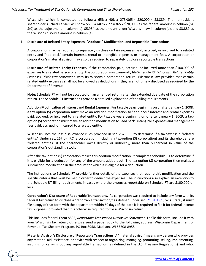Wisconsin, which is computed as follows:  $65\% \times 40\% \times 273/365 \times 20,000 = 53,889$ . The nonresident shareholder's Schedule 5K-1 will show \$5,984 (40% x 273/365 x \$20,000) as the federal amount in column (b), \$(0) as the adjustment in column (c), \$5,984 as the amount under Wisconsin law in column (d), and \$3,889 as the Wisconsin source amount in column (e).

### **Disclosure of Related Entity Expenses, "Addback" Modification, and Reportable Transactions**

A corporation may be required to separately disclose certain expenses paid, accrued, or incurred to a related entity and "add back" certain interest, rental or intangible expenses or management fees. A corporation or corporation's material advisor may also be required to separately disclose reportable transactions.

**Disclosure of Related Entity Expenses***.* If the corporation paid, accrued, or incurred more than \$100,000 of expenses to a related person or entity, the corporation must generally file Schedule RT, *Wisconsin Related Entity Expenses Disclosure Statement*, with its Wisconsin corporation return. Wisconsin law provides that certain related entity expenses shall not be allowed as deductions if they are not timely disclosed as required by the Department of Revenue.

**Note:** Schedule RT will not be accepted on an amended return after the extended due date of the corporation return. The Schedule RT instructions provide a detailed explanation of the filing requirements.

**Addition Modification of Interest and Rental Expenses**. For taxable years beginning on or after January 1, 2008, a tax-option (S) corporation must make an addition modification to "add back" interest and rental expenses paid, accrued, or incurred to a related entity. For taxable years beginning on or after January 1, 2009, a taxoption (S) corporation must make an addition modification to "add back" intangible expenses and management fees paid, accrued, or incurred to a related entity.

Wisconsin uses the loss disallowance rules provided in sec. 267, IRC, to determine if a taxpayer is a "related entity." Under sec. 267(b), IRC, a corporation (including a tax-option (S) corporation) and its shareholder are "related entities" if the shareholder owns directly or indirectly, more than 50 percent in value of the corporation's outstanding stock.

After the tax-option (S) corporation makes this addition modification, it completes Schedule RT to determine if it is eligible for a deduction for any of the amount added back. The tax-option (S) corporation then makes a subtraction modification in the amount for which it is eligible for a deduction.

The instructions to Schedule RT provide further details of the expenses that require this modification and the specific criteria that must be met in order to deduct the expenses. The instructions also explain an exception to the Schedule RT filing requirements in cases where the expenses reportable on Schedule RT are \$100,000 or less.

**Corporation's Disclosure of Reportable Transactions.** If a corporation was required to include any form with its federal tax return to disclose a "reportable transaction," as defined under sec. [71.81\(1\)\(c\),](https://docs.legis.wisconsin.gov/statutes/statutes/71/xii/81/1/c) Wis. Stats.*,* it must file a copy of that form with the department within 60 days of the date it is required to file it for federal income tax purposes, provided that it is otherwise required to file a Wisconsin return.

This includes federal Form 8886, *Reportable Transaction Disclosure Statement.* To file this form, include it with your Wisconsin tax return; otherwise send a paper copy to the following address: Wisconsin Department of Revenue, Tax Shelters Program, PO Box 8958, Madison, WI 53708-8958.

**Material Advisor's Disclosure of Reportable Transactions.** A "material advisor" means any person who provides any material aid, assistance, or advice with respect to organizing, managing, promoting, selling, implementing, insuring, or carrying out any reportable transaction (as defined in the U.S. Treasury Regulations) and who,

24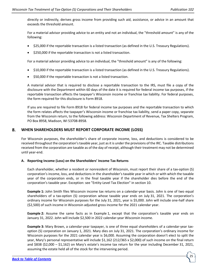directly or indirectly, derives gross income from providing such aid, assistance, or advice in an amount that exceeds the threshold amount.

For a material advisor providing advice to an entity and not an individual, the "threshold amount" is any of the following:

- \$25,000 if the reportable transaction is a listed transaction (as defined in the U.S. Treasury Regulations).
- \$250,000 if the reportable transaction is not a listed transaction.

For a material advisor providing advice to an individual, the "threshold amount" is any of the following:

- \$10,000 if the reportable transaction is a listed transaction (as defined in the U.S. Treasury Regulations).
- \$50,000 if the reportable transaction is not a listed transaction.

A material advisor that is required to disclose a reportable transaction to the IRS, must file a copy of the disclosure with the Department within 60 days of the date it is required for federal income tax purposes, if the reportable transaction affects the taxpayer's Wisconsin income or franchise tax liability. For federal purposes, the form required for this disclosure is Form 8918.

If you are required to file Form 8918 for federal income tax purposes and the reportable transaction to which the form relates affects the taxpayer's Wisconsin income or franchise tax liability, send a paper copy, separate from the Wisconsin return, to the following address: Wisconsin Department of Revenue, Tax Shelters Program, PO Box 8958, Madison, WI 53708-8958.

### <span id="page-24-0"></span>8. **WHEN SHAREHOLDERS MUST REPORT CORPORATE INCOME (LOSS)**

For Wisconsin purposes, the shareholder's share of corporate income, loss, and deductions is considered to be received throughout the corporation's taxable year, just as it is under the provisions of the IRC. Taxable distributions received from the corporation are taxable as of the day of receipt, although their treatment may not be determined until year-end.

### **A. Reporting Income (Loss) on the Shareholders' Income Tax Returns**

Each shareholder, whether a resident or nonresident of Wisconsin, must report their share of a tax-option (S) corporation's income, loss, and deductions in the shareholder's taxable year in which or with which the taxable year of the corporation ends, or in the final taxable year if the shareholder dies before the end of the corporation's taxable year. Exception: see "Entity-Level Tax Election" in section 10.

**Example 1:** John Smith files Wisconsin income tax returns on a calendar-year basis. John is one of two equal shareholders of a tax-option (S) corporation whose taxable year ends on July 31, 2021. The corporation's ordinary income for Wisconsin purposes for the July 31, 2021, year is \$5,000. John will include one-half share (\$2,500) of such income in Wisconsin adjusted gross income for the 2021 calendar year.

**Example 2:** Assume the same facts as in Example 1, except that the corporation's taxable year ends on January 31, 2022. John will include \$2,500 in 2022 calendar-year Wisconsin income.

**Example 3:** Mary Brown, a calendar-year taxpayer, is one of three equal shareholders of a calendar-year taxoption (S) corporation on January 1, 2021. Mary dies on July 31, 2021. The corporation's ordinary income for Wisconsin purposes for the 2021 calendar year is \$6,000. Assuming the corporation doesn't elect to split the year, Mary's personal representative will include \$1,162 (212/365 x \$2,000) of such income on the final return and \$838 (\$2,000 – \$1,162) on Mary's estate's income tax return for the year including December 31, 2021, assuming the estate held all of the stock for the intervening period.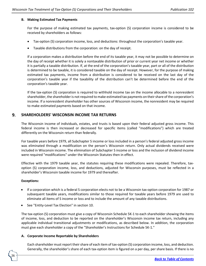### **B. Making Estimated Tax Payments**

For the purpose of making estimated tax payments, tax-option (S) corporation income is considered to be received by shareholders as follows:

- Tax-option (S) corporation income, loss, and deductions: throughout the corporation's taxable year.
- Taxable distributions from the corporation: on the day of receipt.

If a corporation makes a distribution before the end of its taxable year, it may not be possible to determine on the day of receipt whether it is solely a nontaxable distribution of prior or current year net income or whether it is partially a taxable distribution. If, at the end of the corporation's taxable year, part or all of the distribution is determined to be taxable, it is considered taxable on the day of receipt. However, for the purpose of making estimated tax payments, income from a distribution is considered to be received on the last day of the corporation's taxable year if the taxability of the distribution can't be determined before the end of the corporation's taxable year.

If the tax-option (S) corporation is required to withhold income tax on the income allocable to a nonresident shareholder, the shareholder is not required to make estimated tax payments on their share of the corporation's income. If a nonresident shareholder has other sources of Wisconsin income, the nonresident may be required to make estimated payments based on that income.

### <span id="page-25-0"></span>**SHAREHOLDERS' WISCONSIN INCOME TAX RETURNS** 9.

The Wisconsin income of individuals, estates, and trusts is based upon their federal adjusted gross income. This federal income is then increased or decreased for specific items (called "modifications") which are treated differently on the Wisconsin return than federally.

For taxable years before 1979, all Subchapter S income or loss included in a person's federal adjusted gross income was eliminated through a modification on the person's Wisconsin return. Only actual dividends received were included in Wisconsin income. The elimination of Subchapter S income or loss and the inclusion of dividend income were required "modifications" under the Wisconsin Statutes then in effect.

Effective with the 1979 taxable year, the statutes requiring these modifications were repealed. Therefore, taxoption (S) corporation income, loss, and deductions, adjusted for Wisconsin purposes, must be reflected in a shareholder's Wisconsin taxable income for 1979 and thereafter.

### **Exceptions:**

26

- If a corporation which is a federal S corporation elects not to be a Wisconsin tax-option corporation for 1987 or subsequent taxable years, modifications similar to those required for taxable years before 1979 are used to eliminate all items of S income or loss and to include the amount of any taxable distributions.
- See "Entity-Level Tax Election" in section 10.

The tax-option (S) corporation must give a copy of Wisconsin Schedule 5K-1 to each shareholder showing the items of income, loss, and deduction to be reported on the shareholder's Wisconsin income tax return, including any applicable individual transitional adjustments or modifications, as described below. In addition, the corporation must give each shareholder a copy of the "Shareholder's Instructions for Schedule 5K-1."

### **A. Corporate Income Reportable by Shareholders**

Each shareholder must report their share of each item of tax-option (S) corporation income, loss, and deduction. Generally, the shareholder's share of each tax-option item is figured on a per day, per share basis. If there is no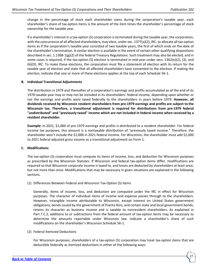change in the percentage of stock each shareholder owns during the corporation's taxable year, each shareholder's share of tax-option items is the amount of the item times the shareholder's percentage of stock ownership for the taxable year.

If a shareholder's interest in a tax-option (S) corporation is terminated during the taxable year, the corporation, with the concurrence of all affected shareholders, may elect, under sec. 1377(a)(2), IRC, to allocate all tax-option items as if the corporation's taxable year consisted of two taxable years, the first of which ends on the date of the shareholder's termination. A similar election is available in the event of certain other qualifying dispositions described in sec. 1.1368-1(g)(2) of the federal Treasury Regulations. Such treatment may also be elected, and in some cases is required, if the tax-option (S) election is terminated in mid-year under secs. 1362(e)(2), (3), and (6)(D), IRC. To make these elections, the corporation must file a statement of election with its return for the taxable year of election and state that all affected shareholders have consented to the election. If making the election, indicate that one or more of these elections applies at the top of each Schedule 5K-1.

### **B. Individual Transitional Adjustments**

The distribution in 1979 and thereafter of a corporation's earnings and profits accumulated as of the end of its 1978 taxable year may or may not be included in its shareholders' federal income, depending upon whether or not the earnings and profits were taxed federally to the shareholders in years before 1979. **However, all dividends received by Wisconsin resident shareholders from pre-1979 earnings and profits are subject to the Wisconsin tax. Therefore, a transitional adjustment is required for distributions from pre-1979 federal "undistributed" and "previously taxed" income which are not included in federal income when received by a resident shareholder.**

**Example:** In 2021, \$1,000 of pre-1979 earnings and profits is distributed to a resident shareholder. For federal income tax purposes, this amount is a nontaxable distribution of "previously taxed income." Therefore, the shareholder won't include the \$1,000 in 2021 federal income. For Wisconsin, the shareholder must add \$1,000 to 2021 federal adjusted gross income as a transitional adjustment on Form 1.

# **C. Modifications**

The tax-option (S) corporation must compute its items of income, loss, and deduction for Wisconsin purposes as prescribed by the Wisconsin Statutes. If Wisconsin and federal tax-option items differ, modifications are required so that Wisconsin corporate income is taxed to, and losses are deducted by shareholders at least once, but not more than once. Modifications that may be necessary in given situations are explained in the following sections.

(1) Differences Between Federal and Wisconsin Tax-Option (S) Items

Generally, items of income, loss, and deduction are computed under the IRC in effect for Wisconsin purposes. The character of individual items of income and expense passes through to the shareholders. However, intangible income attributable to Wisconsin, except interest on United States government obligations, bonds issued by the government of Puerto Rico, and certain state and local government bonds, retains its character as business income and is taxable to nonresident shareholders. As explained in Part 7.C.2, additions to or subtractions from the federal amount of tax-option items may be necessary to determine the amounts reportable under Wisconsin law. Indicate a shareholder's share of such modifications on the shareholder's Wisconsin Schedule 5K-1.

(2) Federal Itemized Deductions

For Wisconsin purposes, shareholders of a tax-option (S) corporation may treat tax-option items that are deductible federally as itemized deductions in either of the following ways: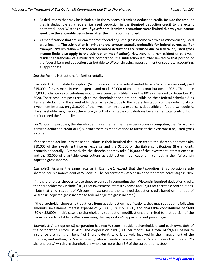- As deductions that may be includable in the Wisconsin itemized deduction credit. Include the amount that is deductible as a federal itemized deduction in the itemized deduction credit to the extent permitted under Wisconsin law. **If your federal itemized deductions were limited due to your income level, use the allowable deductions after the limitation is applied.**
- As modifications that are subtracted from federal adjusted gross income to arrive at Wisconsin adjusted gross income. **The subtraction is limited to the amount actually deductible for federal purposes. (For example, any limitation when federal itemized deductions are reduced due to federal adjusted gross income limits also apply to the subtraction modification).** However, for a nonresident or part-year resident shareholder of a multistate corporation, the subtraction is further limited to that portion of the federal itemized deduction attributable to Wisconsin using apportionment or separate accounting, as appropriate.

See the Form 1 instructions for further details.

28

**Example 1:** A multistate tax-option (S) corporation, whose sole shareholder is a Wisconsin resident, paid \$15,000 of investment interest expense and made \$2,000 of charitable contributions in 2021. The entire \$2,000 of charitable contributions would have been deductible under the IRC as amended to December 31, 2020. These amounts pass through to the shareholder and are deductible on their federal Schedule A as itemized deductions. The shareholder determines that, due to the federal limitations on the deductibility of investment interest, only \$10,000 of the investment interest expense is deductible on federal Schedule A. The shareholder may deduct the entire \$2,000 of charitable contributions because her total contributions don't exceed the federal limits.

For Wisconsin purposes, the shareholder may either (a) use these deductions in computing their Wisconsin itemized deduction credit or (b) subtract them as modifications to arrive at their Wisconsin adjusted gross income.

If the shareholder includes these deductions in their itemized deduction credit, the shareholder may claim \$10,000 of the investment interest expense and the \$2,000 of charitable contributions (the amounts deductible federally). Alternatively, the shareholder may take \$10,000 of the investment interest expense and the \$2,000 of charitable contributions as subtraction modifications in computing their Wisconsin adjusted gross income.

**Example 2**: Assume the same facts as in Example 1, except that the tax-option (S) corporation's sole shareholder is a nonresident of Wisconsin. The corporation's Wisconsin apportionment percentage is 30%.

If the shareholder chooses to use these expenses in computing their Wisconsin itemized deduction credit, the shareholder may include \$10,000 of investment interest expense and \$2,000 of charitable contributions. (Note that a nonresident of Wisconsin must prorate the itemized deduction credit based on the ratio of Wisconsin adjusted gross income to federal adjusted gross income.)

If the shareholder chooses to treat these items as subtraction modifications, they may subtract the following amounts: investment interest expense of \$3,000 (30% x \$10,000) and charitable contributions of \$600 (30% x \$2,000). In this case, the shareholder's subtraction modifications are limited to that portion of the deductions attributable to Wisconsin using the corporation's apportionment percentage.

**Example 3:** A tax-option (S) corporation has two Wisconsin resident shareholders, and each owns 50% of the corporation's stock. In 2021, the corporation pays \$800 per month, for a total of \$9,600, of health insurance premiums on behalf of Shareholder A, who is actively involved in the management of the business, and nothing for Shareholder B, who is merely a passive investor. Shareholders A and B are "2% shareholders," which are shareholders who own more than 2% of the corporation's stock.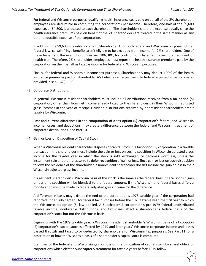For federal and Wisconsin purposes, qualifying health insurance costs paid on behalf of the 2% shareholderemployees are deductible in computing the corporation's net income. Therefore, one-half of the \$9,600 expense, or \$4,800, is allocated to each shareholder. The shareholders share the expense equally since the health insurance premiums paid on behalf of the 2% shareholders are treated in the same manner as any other deductible expense of the corporation.

In addition, the \$9,600 is taxable income to Shareholder A for both federal and Wisconsin purposes. Under federal law, certain fringe benefits aren't eligible to be excluded from income for 2% shareholders. One of these benefits is the exemption under sec. 106, IRC, for contributions by an employer to an accident or health plan. Therefore, 2% shareholder-employees must report the health insurance premiums paid by the corporation on their behalf as taxable income for federal and Wisconsin purposes.

Finally, for federal and Wisconsin income tax purposes, Shareholder A may deduct 100% of the health insurance premiums paid on Shareholder A's behalf as an adjustment to federal adjusted gross income as provided in sec. 162(l), IRC.

(3) Corporate Distributions

In general, Wisconsin resident shareholders must include all distributions received from a tax-option (S) corporation, other than from net income already taxed to the shareholders, in their Wisconsin adjusted gross incomes in the year of receipt. Dividend distributions received by nonresident shareholders aren't taxable by Wisconsin.

Past and current differences in the computation of a tax-option (S) corporation's federal and Wisconsin income, losses, and deductions, may create a difference between the federal and Wisconsin treatment of corporate distributions. See Part 10.

(4) Gain or Loss on Disposition of Capital Stock

When a Wisconsin resident shareholder disposes of capital stock in a tax-option (S) corporation in a taxable transaction, the shareholder must include the gain or loss on such disposition in Wisconsin adjusted gross income for the taxable year in which the stock is sold, exchanged, or becomes worthless, unless the installment sale or other rules serve to defer recognition of gain or loss. Since gain or loss on such disposition follows the residence of the shareholder, a nonresident shareholder doesn't include the gain or loss in their Wisconsin adjusted gross income.

If a resident shareholder's Wisconsin basis of the stock is the same as the federal basis, the Wisconsin gain or loss on disposition will be identical to the federal amount. If the Wisconsin and federal bases differ, a modification must be made to federal adjusted gross income for the difference.

A difference in basis may exist at the end of the corporation's 1978 taxable year if the corporation had reported under Subchapter S for federal tax purposes before the 1979 taxable year, the first year to which the Wisconsin tax-option (S) law applied. A Subchapter S corporation's pre-1979 federal undistributed taxable income, nontaxable distributions, and tax losses affect a shareholder's federal basis of the corporation's stock but not the Wisconsin basis.

Beginning with the 1979 taxable year, a Wisconsin resident shareholder's Wisconsin basis of a tax-option (S) corporation's capital stock is affected by 1979 and later years' Wisconsin corporate income and losses passed through and taxed to or deducted by shareholders for Wisconsin tax purposes. See Part 11 for a description of how the Wisconsin basis of a shareholder's capital stock is computed.

Examples of the federal and Wisconsin gain or loss on the disposition of capital stock by shareholders of corporations which elected Subchapter S treatment for taxable years before 1979 follow.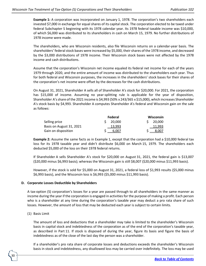**Example 1:** A corporation was incorporated on January 1, 1978. The corporation's two shareholders each invested \$7,000 in exchange for equal shares of its capital stock. The corporation elected to be taxed under federal Subchapter S beginning with its 1978 calendar year. Its 1978 federal taxable income was \$10,000, of which \$6,000 was distributed to its shareholders in cash on March 15, 1979. No further distributions of 1978 income were made.

The shareholders, who are Wisconsin residents, also file Wisconsin returns on a calendar-year basis. The shareholders' federal stock bases were increased by \$5,000, their shares of the 1978 income, and decreased by the \$3,000 distributions of 1978 income. Their Wisconsin stock bases were not affected by the 1978 income and cash distributions.

Assume that the corporation's Wisconsin net income equaled its federal net income for each of the years 1979 through 2020, and the entire amount of income was distributed to the shareholders each year. Thus for both federal and Wisconsin purposes, the increases in the shareholders' stock bases for their shares of the corporation's net income were offset by the decreases for the cash distributions.

On August 31, 2021, Shareholder A sells all of Shareholder A's stock for \$20,000. For 2021, the corporation has \$15,000 of income. Assuming no year-splitting rule is applicable for the year of disposition, Shareholder A's share of the 2021 income is \$4,993 (50% x 243/365 x \$15,000), which increases Shareholder A's stock basis by \$4,993. Shareholder A computes Shareholder A's federal and Wisconsin gain on the sale as follows:

|                          | Federal | <b>Wisconsin</b> |
|--------------------------|---------|------------------|
| Selling price            | 20.000  | 20.000           |
| Basis on August 31, 2021 | 13.993  | 11.993           |
| Gain on disposition      | 6.007   | 8,007            |

**Example 2:** Assume the same facts as in Example 1, except that the corporation had a \$10,000 federal tax loss for its 1978 taxable year and didn't distribute \$6,000 on March 15, 1979. The shareholders each deducted \$5,000 of the loss on their 1978 federal returns.

If Shareholder A sells Shareholder A's stock for \$20,000 on August 31, 2021, the federal gain is \$13,007 (\$20,000 minus \$6,993 basis); whereas the Wisconsin gain is still \$8,007 (\$20,000 minus \$11,993 basis).

However, if the stock is sold for \$5,000 on August 31, 2021, a federal loss of \$1,993 results (\$5,000 minus \$6,993 basis), and the Wisconsin loss is \$6,993 (\$5,000 minus \$11,993 basis).

# **D. Corporate Losses Deductible by Shareholders**

A tax-option (S) corporation's losses for a year are passed through to all shareholders in the same manner as income during the year if the corporation is engaged in activities for the purpose of making a profit. Each person who is a shareholder at any time during the corporation's taxable year may deduct a pro rata share of such losses. However, the amount of loss that may be deducted each year is subject to certain limits.

(1) Basis Limit

30

The amount of loss and deductions that a shareholder may take is limited to the shareholder's Wisconsin basis in capital stock and indebtedness of the corporation as of the end of the corporation's taxable year, as described in Part 11. If stock is disposed of during the year, figure its basis and figure the basis of indebtedness as of the close of the last day the person was a shareholder.

If a shareholder's pro rata share of corporate losses and deductions exceeds the shareholder's Wisconsin basis in stock and indebtedness, any disallowed loss may be carried over indefinitely. The loss may be used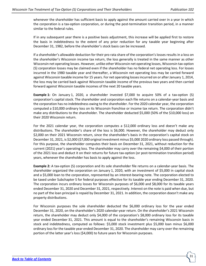whenever the shareholder has sufficient basis to apply against the amount carried over in a year in which the corporation is a tax-option corporation, or during the post-termination transition period, in a manner similar to the federal rules.

If in any subsequent year there is a positive basis adjustment, this increase will be applied first to restore the basis in indebtedness to the extent of any prior reduction for any taxable year beginning after December 31, 1982, before the shareholder's stock basis can be increased.

If a shareholder's allowable deduction for their pro rata share of the corporation's losses results in a loss on the shareholder's Wisconsin income tax return, the loss generally is treated in the same manner as other Wisconsin net operating losses. However, unlike other Wisconsin net operating losses, Wisconsin tax-option (S) corporation losses may be claimed even if the shareholder has no federal net operating loss. For losses incurred in the 1980 taxable year and thereafter, a Wisconsin net operating loss may be carried forward against Wisconsin taxable income for 15 years. For net operating losses incurred on or after January 1, 2014, the loss may be carried back against Wisconsin taxable income of the previous two years and then carried forward against Wisconsin taxable incomes of the next 20 taxable years.

**Example 1:** On January 1, 2020, a shareholder invested \$7,000 to acquire 50% of a tax-option (S) corporation's capital stock. The shareholder and corporation each file returns on a calendar-year basis and the corporation has no indebtedness owing to the shareholder. For the 2020 calendar year, the corporation computed a \$10,000 ordinary loss on its Wisconsin franchise or income tax return. The corporation didn't make any distributions to the shareholder. The shareholder deducted \$5,000 (50% of the \$10,000 loss) on their 2020 Wisconsin return.

For the 2021 calendar year, the corporation computes a \$12,000 ordinary loss and doesn't make any distributions. The shareholder's share of the loss is \$6,000. However, the shareholder may deduct only \$2,000 on their 2021 Wisconsin return, since the shareholder's basis in the corporation's capital stock on December 31, 2021, is \$2,000 (\$7,000 original investment minus \$5,000 2020 ordinary loss passed through). For this purpose, the shareholder computes their basis on December 31, 2021, without reduction for the current (2021) year's operating loss. The shareholder may carry over the remaining \$4,000 of their portion of the 2021 loss and deduct it on their returns for future tax-option (or post-termination transition period) years, whenever the shareholder has basis to apply against the loss.

**Example 2:** A tax-option (S) corporation and its sole shareholder file returns on a calendar-year basis. The shareholder organized the corporation on January 1, 2020, with an investment of \$5,000 in capital stock and a \$5,000 loan to the corporation, represented by an interest-bearing note. The corporation elected to be taxed under Subchapter S for federal purposes effective for its taxable year ending December 31, 2020. The corporation incurs ordinary losses for Wisconsin purposes of \$6,000 and \$8,000 for its taxable years ended December 31, 2020 and December 31, 2021, respectively. Interest on the note is paid when due, but no part of the loan principal is repaid by December 31, 2021. In addition, the corporation doesn't make any property distributions.

For Wisconsin purposes the sole shareholder deducted the \$6,000 ordinary loss for the year ended December 31, 2020, on the shareholder's 2020 calendar-year return. On the shareholder's 2021 Wisconsin return, the shareholder may deduct only \$4,000 of the corporation's \$8,000 ordinary loss for its taxable year ended December 31, 2021. This amount is equal to the shareholder's remaining Wisconsin basis in stock and indebtedness, computed as follows: \$5,000 stock investment plus \$5,000 loan minus \$6,000 ordinary loss for the taxable year ended December 31, 2020. The shareholder may carry over the remaining portion of the latter year's loss (\$4,000) to future years for Wisconsin purposes.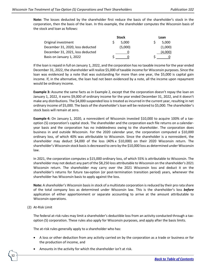**Note:** The losses deducted by the shareholder first reduce the basis of the shareholder's stock in the corporation, then the basis of the loan. In this example, the shareholder computes the Wisconsin basis of the stock and loan as follows:

|                                  | Stock   | Loan    |
|----------------------------------|---------|---------|
| Original investment              | 5.000   | 5.000   |
| December 31, 2020, loss deducted | (5,000) | (1,000) |
| December 31, 2021, loss deducted |         | (4,000) |
| Basis on January 1, 2022         |         |         |

If the loan is repaid in full on January 1, 2022, and the corporation has no taxable income for the year ended December 31, 2022, the shareholder will realize \$5,000 of taxable income for Wisconsin purposes. Since the loan was evidenced by a note that was outstanding for more than one year, the \$5,000 is capital gain income. If, in the alternative, the loan had not been evidenced by a note, all the income upon repayment would be ordinary income.

**Example 3:** Assume the same facts as in Example 2, except that the corporation doesn't repay the loan on January 1, 2022, it earns \$9,000 of ordinary income for the year ended December 31, 2022, and it doesn't make any distributions. The \$4,000 suspended loss is treated as incurred in the current year, resulting in net ordinary income of \$5,000. The basis of the shareholder's loan will be restored to \$5,000. The shareholder's stock basis will remain at zero.

**Example 4:** On January 1, 2020, a nonresident of Wisconsin invested \$10,000 to acquire 100% of a taxoption (S) corporation's capital stock. The shareholder and the corporation each file returns on a calendaryear basis and the corporation has no indebtedness owing to the shareholder. The corporation does business in and outside Wisconsin. For the 2020 calendar year, the corporation computed a \$10,000 ordinary loss, of which 40% was attributable to Wisconsin. Since the shareholder is a nonresident, the shareholder may deduct \$4,000 of the loss (40% x \$10,000) on their 2020 Wisconsin return. The shareholder's Wisconsin stock basis is decreased to zero by the \$10,000 loss as determined under Wisconsin law.

In 2021, the corporation computes a \$15,000 ordinary loss, of which 55% is attributable to Wisconsin. The shareholder may not deduct any part of the \$8,250 loss attributable to Wisconsin on the shareholder's 2021 Wisconsin return. The shareholder may carry over the 2021 Wisconsin loss and deduct it on the shareholder's returns for future tax-option (or post-termination transition period) years, whenever the shareholder has Wisconsin basis to apply against the loss.

**Note:** A shareholder's Wisconsin basis in stock of a multistate corporation is reduced by their pro rata share of the total company loss as determined under Wisconsin law. This is the shareholder's loss *before* application of either apportionment or separate accounting to arrive at the amount attributable to Wisconsin operations.

(2) At-Risk Limit

32

The federal at-risk rules may limit a shareholder's deductible loss from an activity conducted through a taxoption (S) corporation. These rules also apply for Wisconsin purposes, and apply after the basis limits.

The at-risk rules generally apply to a shareholder who has:

- A loss or other deduction from any activity carried on by the corporation as a trade or business or for the production of income, and
- Amounts in the activity for which the shareholder isn't at risk.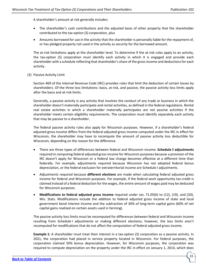A shareholder's amount at risk generally includes:

- The shareholder's cash contributions and the adjusted basis of other property that the shareholder contributed to the tax-option (S) corporation, plus
- Amounts borrowed for use in the activity that the shareholder is personally liable for the repayment of, or has pledged property not used in the activity as security for the borrowed amount.

The at-risk limitations apply at the shareholder level. To determine if the at-risk rules apply to an activity, the tax-option (S) corporation must identify each activity in which it is engaged and provide each shareholder with a schedule reflecting that shareholder's share of the gross income and deductions for each activity.

(3) Passive Activity Limit

Section 469 of the Internal Revenue Code (IRC) provides rules that limit the deduction of certain losses by shareholders. Of the three loss limitations: basis, at-risk, and passive, the passive activity loss limits apply after the basis and at-risk limits.

Generally, a passive activity is any activity that involves the conduct of any trade or business in which the shareholder doesn't materially participate and rental activities, as defined in the federal regulations. Rental real estate activities in which a shareholder materially participates are not passive activities if the shareholder meets certain eligibility requirements. The corporation must identify separately each activity that may be passive to a shareholder.

The federal passive activity rules also apply for Wisconsin purposes. However, if a shareholder's federal adjusted gross income differs from the federal adjusted gross income computed under the IRC in effect for Wisconsin, the shareholder may have to recompute the amount of passive activity loss deductible for Wisconsin, depending on the reason for the difference.

- There are three types of differences between federal and Wisconsin income: **Schedule I adjustments** required in computing federal adjusted gross income for Wisconsin purposes because a provision of the IRC doesn't apply for Wisconsin or a federal law change becomes effective at a different time than federally. For example, adjustments required because Wisconsin has not adopted federal bonus depreciation, or the federal exclusion for extraterritorial income are Schedule I adjustments.
- Adjustments required because **different elections** are made when calculating federal adjusted gross income for federal and Wisconsin purposes. For example, if the federal work opportunity tax credit is claimed instead of a federal deduction for the wages, the entire amount of wages paid may be deducted for Wisconsin purposes.
- **Modifications to federal adjusted gross income** required under sec. 71.05(6) to (12), (19), and (20), Wis. Stats. Modifications include the addition to federal adjusted gross income of state and local government bond interest income and the subtraction of 30% of long-term capital gains (60% of net capital gains realized on certain assets used in farming).

The passive activity loss limits must be recomputed for differences between federal and Wisconsin income resulting from Schedule I adjustments or making different elections; however, the loss limits aren't recomputed for modifications that do not affect the computation of federal adjusted gross income.

**Example 1:** A shareholder must treat their interest in a tax-option (S) corporation as a passive activity. In 2021, the corporation had placed in service property located in Wisconsin. For federal purposes, the corporation claimed 50% bonus depreciation. However, for Wisconsin purposes, the corporation was required to compute depreciation on the property under the IRC in effect on January 1, 2014, which does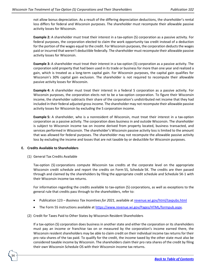not allow bonus depreciation. As a result of the differing depreciation deductions, the shareholder's rental loss differs for federal and Wisconsin purposes. The shareholder must recompute their allowable passive activity losses for Wisconsin.

**Example 2:** A shareholder must treat their interest in a tax-option (S) corporation as a passive activity. For federal purposes, the corporation elected to claim the work opportunity tax credit instead of a deduction for the portion of the wages equal to the credit. For Wisconsin purposes, the corporation deducts the wages paid or incurred that weren't deductible federally. The shareholder must recompute their allowable passive activity losses for Wisconsin.

**Example 3:** A shareholder must treat their interest in a tax-option (S) corporation as a passive activity. The corporation sold property that had been used in its trade or business for more than one year and realized a gain, which is treated as a long-term capital gain. For Wisconsin purposes, the capital gain qualifies for Wisconsin's 30% capital gain exclusion. The shareholder is not required to recompute their allowable passive activity losses for Wisconsin.

**Example 4:** A shareholder must treat their interest in a federal S corporation as a passive activity. For Wisconsin purposes, the corporation elects not to be a tax-option corporation. To figure their Wisconsin income, the shareholder subtracts their share of the corporation's undistributed net income that they had included in their federal adjusted gross income. The shareholder may not recompute their allowable passive activity losses for Wisconsin by excluding the S corporation income.

**Example 5:** A shareholder, who is a nonresident of Wisconsin, must treat their interest in a tax-option corporation as a passive activity. The corporation does business in and outside Wisconsin. The shareholder is subject to Wisconsin income tax on income derived from property located, business transacted, and services performed in Wisconsin. The shareholder's Wisconsin passive activity loss is limited to the amount that was allowed for federal purposes. The shareholder may not recompute the allowable passive activity loss by excluding the income and losses that are not taxable by or deductible for Wisconsin purposes.

### **E. Credits Available to Shareholders**

34

(1) General Tax Credits Available

Tax-option (S) corporations compute Wisconsin tax credits at the corporate level on the appropriate Wisconsin credit schedule and report the credits on Form 5S, Schedule 5K. The credits are then passed through and claimed by the shareholders by filing the appropriate credit schedule and Schedule 5K-1 with their Wisconsin income tax returns.

For information regarding the credits available to tax-option (S) corporations, as well as exceptions to the general rule that credits pass through to the shareholders, refer to:

- Publication 123 *Business Tax Incentives for 2021*, available a[t revenue.wi.gov/html/taxpubs.html](https://www.revenue.wi.gov/html/taxpubs.html)
- The Form 5S instructions available at [https://www.revenue.wi.gov/Pages/HTML/formpub.aspx.](https://www.revenue.wi.gov/Pages/HTML/formpub.aspx)
- (2) Credit for Taxes Paid to Other States by Wisconsin Resident Shareholders

If a tax-option (S) corporation does business in another state and either the corporation or its shareholders must pay an income or franchise tax on or measured by the corporation's income earned there, the Wisconsin resident shareholders may be able to claim credit on their individual income tax returns for their pro rata shares of the tax paid. To qualify for the credit, the income taxed by the other state must also be considered taxable income by Wisconsin. The shareholders claim their pro rata shares of the credit by filing their own Wisconsin Schedule OS with their Wisconsin income tax returns.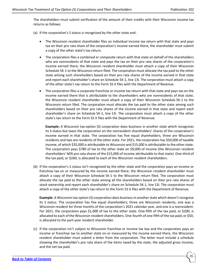The shareholders must submit verification of the amount of their credits with their Wisconsin income tax returns as follows:

(a) If the corporation's S status is recognized by the other state and:

- The Wisconsin resident shareholder files an individual income tax return with that state and pays tax on their pro rata share of the corporation's income earned there, the shareholder must submit a copy of the other state's tax return.
- The corporation files a combined or composite return with that state on behalf of the shareholders who are nonresidents of that state and pays the tax on their pro rata shares of the corporation's income earned there, the Wisconsin resident shareholder must attach a copy of their Wisconsin Schedule 5K-1 to the Wisconsin return filed. The corporation must allocate the tax paid to the other state among such shareholders based on their pro rata shares of the income earned in that state and report each shareholder's share on Schedule 5K-1, line 13i. The corporation must attach a copy of the other state's tax return to the Form 5S it files with the Department of Revenue.
- The corporation files a corporate franchise or income tax return with that state and pays tax on the income earned there that is attributable to the shareholders who are nonresidents of that state, the Wisconsin resident shareholder must attach a copy of their Wisconsin Schedule 5K-1 to the Wisconsin return filed. The corporation must allocate the tax paid to the other state among such shareholders based on their pro rata shares of the income earned in that state and report each shareholder's share on Schedule 5K-1, line 13i. The corporation must attach a copy of the other state's tax return to the Form 5S it files with the Department of Revenue.

**Example:** A Wisconsin tax-option (S) corporation does business in another state which recognizes its S status but taxes the corporation on the nonresident shareholders' shares of the corporation's income earned in that state. The corporation has five equal shareholders; three are Wisconsin residents and two are residents of the other state. For 2021, the corporation has \$50,000 of taxable income, of which \$35,000 is attributable to Wisconsin and \$15,000 is attributable to the other state. The corporation pays \$780 of tax to the other state on \$9,000 of income (the Wisconsin resident shareholders' 60% pro rata shares of the \$15,000 of income attributable to that state). One-third of the tax paid, or \$260, is allocated to each of the Wisconsin resident shareholders.

(b) If the corporation's S status isn't recognized by the other state and the corporation pays an income or franchise tax on or measured by the income earned there, the Wisconsin resident shareholder must attach a copy of their Wisconsin Schedule 5K-1 to the Wisconsin return filed. The corporation must allocate the tax paid to the other state among all the shareholders based on their pro rata shares of stock ownership and report each shareholder's share on Schedule 5K-1, line 13i. The corporation must attach a copy of the other state's tax return to the Form 5S it files with the Department of Revenue.

**Example**: A Wisconsin tax-option (S) corporation does business in another state which doesn't recognize its S status. The corporation has five equal shareholders; three are Wisconsin residents, one was a Wisconsin resident for three months of the corporation's 2021 calendar year, and one is a nonresident. For 2021, the corporation pays \$1,000 of tax to the other state. One-fifth of the tax paid, or \$200, is allocated to each of the Wisconsin resident shareholders. One-fourth of one-fifth of the tax paid, or \$50, is allocated to the part-year resident shareholder.

(c) If the corporation isn't subject to Wisconsin franchise or income tax law and the corporation pays an income or franchise tax to another state on or measured by the income earned there, the Wisconsin resident shareholder must submit a letter from the corporation. The letter must include a schedule showing the shareholder's pro rata share of the items taxed by the state, the adjusted gross income, and the net tax paid.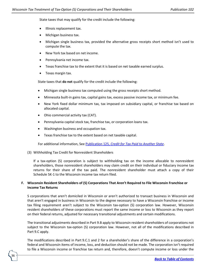State taxes that may qualify for the credit include the following:

- Illinois replacement tax.
- Michigan business tax.
- Michigan single business tax, provided the alternative gross receipts short method isn't used to compute the tax.
- New York tax based on net income.
- Pennsylvania net income tax.
- Texas franchise tax to the extent that it is based on net taxable earned surplus.
- Texas margin tax.

State taxes that **do not** qualify for the credit include the following:

- Michigan single business tax computed using the gross receipts short method.
- Minnesota built-in gains tax, capital gains tax, excess passive income tax, or minimum fee.
- New York fixed dollar minimum tax, tax imposed on subsidiary capital, or franchise tax based on allocated capital.
- Ohio commercial activity tax (CAT).
- Pennsylvania capital stock tax, franchise tax, or corporation loans tax.
- Washington business and occupation tax.
- Texas franchise tax to the extent based on net taxable capital.

For additional information, See Publication 125, *[Credit for Tax Paid to Another State](https://www.revenue.wi.gov/DOR%20Publications/pb125.pdf)*.

(3) Withholding Tax Credit for Nonresident Shareholders

36

If a tax-option (S) corporation is subject to withholding tax on the income allocable to nonresident shareholders, those nonresident shareholders may claim credit on their individual or fiduciary income tax returns for their share of the tax paid. The nonresident shareholder must attach a copy of their Schedule 5K-1 to the Wisconsin income tax return filed.

# **F. Wisconsin Resident Shareholders of (S) Corporations That Aren't Required to File Wisconsin Franchise or Income Tax Returns**

S corporations that aren't domiciled in Wisconsin or aren't authorized to transact business in Wisconsin and that aren't engaged in business in Wisconsin to the degree necessary to have a Wisconsin franchise or income tax filing requirement aren't subject to the Wisconsin tax-option (S) corporation law. However, Wisconsin resident shareholders of these corporations must report the same income or loss to Wisconsin as they report on their federal returns, adjusted for necessary transitional adjustments and certain modifications.

The transitional adjustments described in Part 9.B apply to Wisconsin resident shareholders of corporations not subject to the Wisconsin tax-option (S) corporation law. However, not all of the modifications described in Part 9.C apply.

The modifications described in Part 9.C.1 and 2 for a shareholder's share of the difference in a corporation's federal and Wisconsin items of income, loss, and deduction should not be made. The corporation isn't required to file a Wisconsin income or franchise tax return and, therefore, doesn't compute income or loss under the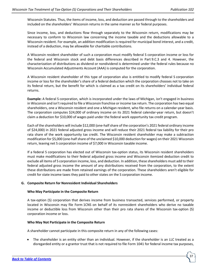Wisconsin Statutes. Thus, the items of income, loss, and deduction are passed through to the shareholders and included on the shareholders' Wisconsin returns in the same manner as for federal purposes.

Since income, loss, and deductions flow through separately to the Wisconsin return, modifications may be necessary to conform to Wisconsin law concerning the income taxable and the deductions allowable to a Wisconsin resident. For example, an addition modification is required for municipal bond interest, and a credit, instead of a deduction, may be allowable for charitable contributions.

A Wisconsin resident shareholder of such a corporation must modify federal S corporation income or loss for the federal and Wisconsin stock and debt basis differences described in Part 9.C.3 and 4. However, the characterization of distributions as dividend or nondividend is determined under the federal rules because no Wisconsin Accumulated Adjustments Account (AAA) is computed for the corporation.

A Wisconsin resident shareholder of this type of corporation also is entitled to modify federal S corporation income or loss for the shareholder's share of a federal deduction which the corporation chooses not to take on its federal return, but the benefit for which is claimed as a tax credit on its shareholders' individual federal returns.

**Example:** A federal S corporation, which is incorporated under the laws of Michigan, isn't engaged in business in Wisconsin and isn't required to file a Wisconsin franchise or income tax return. The corporation has two equal shareholders, one a Wisconsin resident and one a Michigan resident, who file returns on a calendar-year basis. The corporation computes \$24,000 of ordinary income on its 2021 federal calendar-year return, but doesn't claim a deduction for \$10,000 of wages paid under the federal work opportunity tax credit program.

Each of the shareholders will include \$12,000 (one-half share of the corporation's 2021 federal ordinary income of \$24,000) in 2021 federal adjusted gross income and will reduce their 2021 federal tax liability for their pro rata share of the work opportunity tax credit. The Wisconsin resident shareholder may make a subtraction modification for \$5,000 (one-half share of the unclaimed \$10,000 deduction for wages) on their 2021 Wisconsin return, leaving net S corporation income of \$7,000 in Wisconsin taxable income.

If a federal S corporation has elected out of Wisconsin tax-option status, its Wisconsin resident shareholders must make modifications to their federal adjusted gross income and Wisconsin itemized deduction credit to exclude all items of S corporation income, loss, and deduction. In addition, these shareholders must add to their federal adjusted gross income the amount of any distributions received from the corporation, to the extent these distributions are made from retained earnings of the corporation. These shareholders aren't eligible for credit for state income taxes they paid to other states on the S corporation income.

### **G. Composite Return for Nonresident Individual Shareholders**

### **Who May Participate in the Composite Return**

A tax-option (S) corporation that derives income from business transacted, services performed, or property located in Wisconsin may file Form 1CNS on behalf of its nonresident shareholders who derive no taxable income or deductible loss from Wisconsin other than their pro rata shares of the Wisconsin tax-option (S) corporation income or loss.

### **Who May Not Participate in the Composite Return**

A shareholder cannot participate in this composite return in any of the following cases:

• The shareholder is an entity other than an individual. However, if the shareholder is an LLC treated as a disregarded entity or a grantor trust that is not required to file Form 1041 for federal income tax purposes,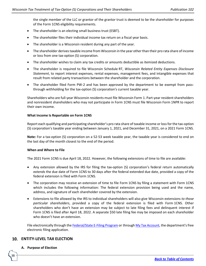the single member of the LLC or grantor of the grantor trust is deemed to be the shareholder for purposes of the Form 1CNS eligibility requirements.

- The shareholder is an electing small business trust (ESBT).
- The shareholder files their individual income tax return on a fiscal year basis.
- The shareholder is a Wisconsin resident during any part of the year.
- The shareholder derives taxable income from Wisconsin in the year other than their pro rata share of income or loss from one tax-option (S) corporation.
- The shareholder wishes to claim any tax credits or amounts deductible as itemized deductions.
- The shareholder is required to file Wisconsin Schedule RT, *Wisconsin Related Entity Expenses Disclosure Statement*, to report interest expenses, rental expenses, management fees, and intangible expenses that result from related party transactions between the shareholder and the corporation.
- The shareholder filed Form PW-2 and has been approved by the department to be exempt from passthrough withholding for the tax-option (S) corporation's current taxable year.

Shareholders who are full-year Wisconsin residents must file Wisconsin Form 1. Part-year resident shareholders and nonresident shareholders who may not participate in Form 1CNS must file Wisconsin Form 1NPR to report their own income.

### **What Income Is Reportable on Form 1CNS**

Report each qualifying and participating shareholder's pro rata share of taxable income or loss for the tax-option (S) corporation's taxable year ending between January 1, 2021, and December 31, 2021, on a 2021 Form 1CNS.

**Note:** For a tax-option (S) corporation on a 52-53 week taxable year, the taxable year is considered to end on the last day of the month closest to the end of the period.

### **When and Where to File**

The 2021 Form 1CNS is due April 18, 2022. However, the following extensions of time to file are available:

- Any extension allowed by the IRS for filing the tax-option (S) corporation's federal return automatically extends the due date of Form 1CNS to 30 days after the federal extended due date, provided a copy of the federal extension is filed with Form 1CNS.
- The corporation may receive an extension of time to file Form 1CNS by filing a statement with Form 1CNS which includes the following information: The federal extension provision being used and the name, address, and signature of each shareholder covered by the extension.
- Extensions to file allowed by the IRS to individual shareholders will also give Wisconsin extensions *to those particular shareholders*, provided a copy of the federal extension is filed with Form 1CNS. Other shareholders who don't have an extension may be subject to late filing fees and delinquent interest if Form 1CNS is filed after April 18, 2022. A separate \$50 late filing fee may be imposed on each shareholder who doesn't have an extension.

File electronically through th[e Federal/State E-Filing Program](https://www.revenue.wi.gov/Pages/OnlineServices/corp-partnership-third-party-vendors.aspx) or throug[h My Tax Account,](https://tap.revenue.wi.gov/mta/_/) the department's free electronic filing application.

# <span id="page-37-0"></span>**ENTITY-LEVEL TAX ELECTION**

### **A. Purpose of Election**

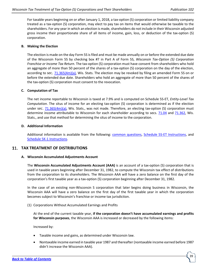For taxable years beginning on or after January 1, 2018, a tax-option (S) corporation or limited liability company treated as a tax-option (S) corporation, may elect to pay tax on items that would otherwise be taxable to the shareholders. For any year in which an election is made, shareholders do not include in their Wisconsin adjusted gross income their proportionate share of all items of income, gain, loss, or deduction of the tax-option (S) corporation.

### **B. Making the Election**

The election is made on the day Form 5S is filed and must be made annually on or before the extended due date of the Wisconsin Form 5S by checking box #7 in Part A of Form 5S, *Wisconsin Tax-Option (S) Corporation Franchise or Income Tax Return*. The tax-option (S) corporation must have consent from shareholders who hold an aggregate of more than 50 percent of the shares of a tax-option (S) corporation on the day of the election, according to sec. [71.365\(4m\)\(a\),](https://docs.legis.wisconsin.gov/statutes/statutes/71/V/365/4m/a) Wis. Stats. The election may be revoked by filing an amended Form 5S on or before the extended due date. Shareholders who hold an aggregate of more than 50 percent of the shares of the tax-option (S) corporation must consent to the revocation.

### **C. Computation of Tax**

The net income reportable to Wisconsin is taxed at 7.9% and is computed on Schedule 5S-ET, *Entity-Level Tax Computation*. The situs of income for an electing tax-option (S) corporation is determined as if the election under sec. [71.365\(4m\)\(a\),](https://docs.legis.wisconsin.gov/statutes/statutes/71/V/365/4m/a) Wis. Stats., was not made. Therefore, an electing tax-option (S) corporation must determine income attributable to Wisconsin for each shareholder according to secs. [71.04](http://docs.legis.wisconsin.gov/statutes/statutes/71/I/04) and [71.362,](http://docs.legis.wisconsin.gov/statutes/statutes/71/V/362) Wis. Stats., and use that method for determining the situs of income to the corporation.

### **D. Additional Information**

Additional information is available from the following: [common questions,](https://www.revenue.wi.gov/Pages/FAQS/ise-passthroughtaxscorp.aspx) [Schedule 5S-ET Instructions,](https://www.revenue.wi.gov/Pages/HTML/formpub.aspx) and [Schedule 5K-1 Instructions.](https://www.revenue.wi.gov/Pages/HTML/formpub.aspx)

# <span id="page-38-0"></span>**TAX TREATMENT OF DISTRIBUTIONS**

### **A. Wisconsin Accumulated Adjustments Account**

The **Wisconsin Accumulated Adjustments Account (AAA)** is an account of a tax-option (S) corporation that is used in taxable years beginning after December 31, 1982, to compute the Wisconsin tax effect of distributions from the corporation to its shareholders. The Wisconsin AAA will have a zero balance on the first day of the corporation's first taxable year as a tax-option (S) corporation beginning after December 31, 1982.

In the case of an existing non-Wisconsin S corporation that later begins doing business in Wisconsin, the Wisconsin AAA will have a zero balance on the first day of the first taxable year in which the corporation becomes subject to Wisconsin's franchise or income tax jurisdiction.

(1) Corporations Without Accumulated Earnings and Profits

At the end of the current taxable year, **if the corporation doesn't have accumulated earnings and profits for Wisconsin purposes**, the Wisconsin AAA is increased or decreased by the following items:

Increased by:

- Taxable income and gains, as determined under Wisconsin law.
- Nontaxable income earned in taxable year 1987 and thereafter (nontaxable income earned before 1987 didn't increase the Wisconsin AAA).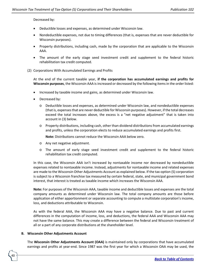Decreased by:

- Deductible losses and expenses, as determined under Wisconsin law.
- Nondeductible expenses, not due to timing differences (that is, expenses that are never deductible for Wisconsin purposes).
- Property distributions, including cash, made by the corporation that are applicable to the Wisconsin AAA.
- The amount of the early stage seed investment credit and supplement to the federal historic rehabilitation tax credit computed.
- (2) Corporations With Accumulated Earnings and Profits

At the end of the current taxable year, **if the corporation has accumulated earnings and profits for Wisconsin purposes**, the Wisconsin AAA is increased or decreased by the following items in the order listed:

- Increased by taxable income and gains, as determined under Wisconsin law.
- Decreased by:
	- o Deductible losses and expenses, as determined under Wisconsin law, and nondeductible expenses (that is, expenses that are never deductible for Wisconsin purposes). However, if the total decreases exceed the total increases above, the excess is a "net negative adjustment" that is taken into account in (3) below.
	- o Property distributions, including cash, other than dividend distributions from accumulated earnings and profits, unless the corporation elects to reduce accumulated earnings and profits first.

**Note:** Distributions cannot reduce the Wisconsin AAA below zero.

- o Any net negative adjustment.
- o The amount of early stage seed investment credit and supplement to the federal historic rehabilitation tax credit computed.

In this case, the Wisconsin AAA isn't increased by nontaxable income nor decreased by nondeductible expenses related to nontaxable income. Instead, adjustments for nontaxable income and related expenses are made to the Wisconsin Other Adjustments Account as explained below. If the tax-option (S) corporation is subject to a Wisconsin franchise tax measured by certain federal, state, and municipal government bond interest, that interest is treated as taxable income which increases the Wisconsin AAA.

**Note:** For purposes of the Wisconsin AAA, taxable income and deductible losses and expenses are the total company amounts as determined under Wisconsin law. The total company amounts are those before application of either apportionment or separate accounting to compute a multistate corporation's income, loss, and deductions attributable to Wisconsin.

As with the federal AAA, the Wisconsin AAA may have a negative balance. Due to past and current differences in the computation of income, loss, and deductions, the federal AAA and Wisconsin AAA may not have the same balance. This may create a difference between the federal and Wisconsin treatment of all or a part of any corporate distributions at the shareholder level.

### **B. Wisconsin Other Adjustments Account**

40

The **Wisconsin Other Adjustments Account (OAA)** is maintained only by corporations that have accumulated earnings and profits at year-end. Since 1987 was the first year for which a Wisconsin OAA may be used, the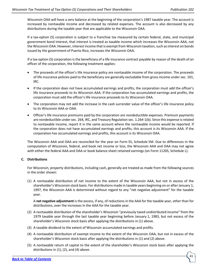Wisconsin OAA will have a zero balance at the beginning of the corporation's 1987 taxable year. The account is increased by nontaxable income and decreased by related expenses. The account is also decreased by any distributions during the taxable year that are applicable to the Wisconsin OAA.

If a tax-option (S) corporation is subject to a franchise tax measured by certain federal, state, and municipal government bond interest, that interest is treated as taxable income which increases the Wisconsin AAA, not the Wisconsin OAA. However, interest income that is exempt from Wisconsin taxation, such as interest on bonds issued by the government of Puerto Rico, increases the Wisconsin OAA.

If a tax-option (S) corporation is the beneficiary of a life insurance contract payable by reason of the death of an officer of the corporation, the following treatment applies:

- The proceeds of the officer's life insurance policy are nontaxable income of the corporation. The proceeds of life insurance policies paid to the beneficiary are generally excludable from gross income under sec. 101, IRC.
- If the corporation does not have accumulated earnings and profits, the corporation must add the officer's life insurance proceeds to its Wisconsin AAA. If the corporation has accumulated earnings and profits, the corporation must add the officer's life insurance proceeds to its Wisconsin OAA.
- The corporation may not add the increase in the cash surrender value of the officer's life insurance policy to its Wisconsin AAA or OAA.
- Officer's life insurance premiums paid by the corporation are nondeductible expenses. Premium payments are nondeductible under sec. 264, IRC, and Treasury Regulation sec. 1.264-1(b). Since this expense is related to nontaxable income, report it in the same account where the nontaxable income would be reported. If the corporation does not have accumulated earnings and profits, this account is its Wisconsin AAA. If the corporation has accumulated earnings and profits, this account is its Wisconsin OAA.

The Wisconsin AAA and OAA are reconciled for the year on Form 5S, Schedule 5M. Due to differences in the computation of Wisconsin, federal, and book net income or loss, the Wisconsin AAA and OAA may not agree with either the federal AAA and OAA or book balance sheet retained earnings (on Form 1120S, Schedule L).

### **C. Distributions**

For Wisconsin, property distributions, including cash, generally are treated as made from the following sources in the order shown:

(1) A nontaxable distribution of net income to the extent of the Wisconsin AAA, but not in excess of the shareholder's Wisconsin stock basis. For distributions made in taxable years beginning on or after January 1, 1997, the Wisconsin AAA is determined without regard to any "net negative adjustment" for the taxable year.

A **net negative adjustment** is the excess, if any, of reductions in the AAA for the taxable year, other than for distributions, over the increases in the AAA for the taxable year.

- (2) A nontaxable distribution of the shareholder's Wisconsin "previously taxed undistributed income" from the 1979 taxable year through the last taxable year beginning before January 1, 1983, but not excess of the shareholder's Wisconsin stock basis after applying the distributions in (1) above.
- (3) A taxable dividend to the extent of Wisconsin accumulated earnings and profits.
- (4) A nontaxable distribution of exempt income to the extent of the Wisconsin OAA, but not in excess of the shareholder's Wisconsin stock basis after applying the distributions in (1) and (2) above.
- (5) A nontaxable return of capital to the extent of the shareholder's Wisconsin stock basis after applying the distributions in (1), (2), and (4) above.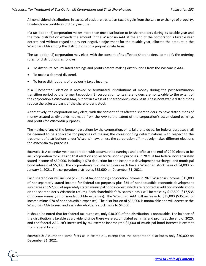All nondividend distributions in excess of basis are treated as taxable gain from the sale or exchange of property. Dividends are taxable as ordinary income.

If a tax-option (S) corporation makes more than one distribution to its shareholders during its taxable year and the total distribution exceeds the amount in the Wisconsin AAA at the end of the corporation's taxable year determined without regard to any net negative adjustment for the taxable year, allocate the amount in the Wisconsin AAA among the distributions on a proportionate basis.

The tax-option (S) corporation may elect, with the consent of its affected shareholders, to modify the ordering rules for distributions as follows:

- To distribute accumulated earnings and profits before making distributions from the Wisconsin AAA.
- To make a deemed dividend.

42

• To forgo distributions of previously taxed income.

If a Subchapter S election is revoked or terminated, distributions of money during the post-termination transition period by the former tax-option (S) corporation to its shareholders are nontaxable to the extent of the corporation's Wisconsin AAA, but not in excess of a shareholder's stock basis. These nontaxable distributions reduce the adjusted basis of the shareholder's stock.

Alternatively, the corporation may elect, with the consent of its affected shareholders, to have distributions of money treated as dividends not made from the AAA to the extent of the corporation's accumulated earnings and profits for Wisconsin purposes.

The making of any of the foregoing elections by the corporation, or its failure to do so, for federal purposes shall be deemed to be applicable for purposes of making the corresponding determinations with respect to the treatment of distributions under Wisconsin law, unless the corporation affirmatively makes different elections for Wisconsin tax purposes.

**Example 1:** A calendar-year corporation with accumulated earnings and profits at the end of 2020 elects to be an S corporation for 2021 and that election applies for Wisconsin purposes. In 2021, it has federal nonseparately stated income of \$30,000, including a \$70 deduction for the economic development surcharge, and municipal bond interest of \$5,000. The corporation's two shareholders each have a Wisconsin stock basis of \$4,000 on January 1, 2021. The corporation distributes \$35,000 on December 31, 2021.

Each shareholder will include \$17,535 of tax-option (S) corporation income in 2021 Wisconsin income (\$15,000 of nonseparately stated income for federal tax purposes plus \$35 of nondeductible economic development surcharge and \$2,500 of separately stated municipal bond interest, which are reported as addition modifications on the shareholder's Wisconsin return). Each shareholder's Wisconsin basis will increase by \$17,500 (\$17,535 of income minus \$35 of nondeductible expenses). The Wisconsin AAA will increase to \$35,000 (\$35,070 of income minus \$70 of nondeductible expenses). The distribution of \$35,000 is nontaxable and will decrease the Wisconsin AAA to zero and each shareholder's stock basis to \$4,000.

It should be noted that for federal tax purposes, only \$30,000 of the distribution is nontaxable. The balance of the distribution is taxable as a dividend since there were accumulated earnings and profits at the end of 2020, and the federal AAA isn't increased by tax-exempt income (the \$5,000 of municipal bond interest is exempt from federal taxation).

**Example 2:** Assume the same facts as in Example 1, except that the corporation distributes only \$30,000 on December 31, 2021.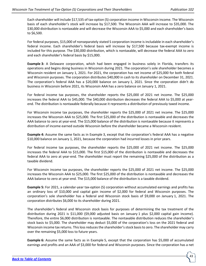Each shareholder will include \$17,535 of tax-option (S) corporation income in Wisconsin income. The Wisconsin basis of each shareholder's stock will increase by \$17,500. The Wisconsin AAA will increase to \$35,000. The \$30,000 distribution is nontaxable and will decrease the Wisconsin AAA to \$5,000 and each shareholder's basis to \$6,500.

For federal purposes, \$15,000 of nonseparately stated S corporation income is includable in each shareholder's federal income. Each shareholder's federal basis will increase by \$17,500 because tax-exempt income is included for this purpose. The \$30,000 distribution, which is nontaxable, will decrease the federal AAA to zero and each shareholder's federal basis by \$15,000.

**Example 3:** A Delaware corporation, which had been engaged in business solely in Florida, transfers its operations and begins doing business in Wisconsin during 2021. The corporation's sole shareholder becomes a Wisconsin resident on January 1, 2021. For 2021, the corporation has net income of \$25,000 for both federal and Wisconsin purposes. The corporation distributes \$40,000 in cash to its shareholder on December 31, 2021. The corporation's federal AAA has a \$20,000 balance on January 1, 2021. Since the corporation didn't do business in Wisconsin before 2021, its Wisconsin AAA has a zero balance on January 1, 2021.

For federal income tax purposes, the shareholder reports the \$25,000 of 2021 net income. The \$25,000 increases the federal AAA to \$45,000. The \$40,000 distribution decreases the federal AAA to \$5,000 at yearend. The distribution is nontaxable federally because it represents a distribution of previously taxed income.

For Wisconsin income tax purposes, the shareholder reports the \$25,000 of 2021 net income. The \$25,000 increases the Wisconsin AAA to \$25,000. The first \$25,000 of the distribution is nontaxable and decreases the AAA balance to zero at year-end. The \$15,000 balance of the distribution is nontaxable because it represents a distribution of income earned outside Wisconsin before the shareholder became a Wisconsin resident.

**Example 4:** Assume the same facts as in Example 3, except that the corporation's federal AAA has a negative \$10,000 balance on January 1, 2021, because the corporation had incurred losses in prior years.

For federal income tax purposes, the shareholder reports the \$25,000 of 2021 net income. The \$25,000 increases the federal AAA to \$15,000. The first \$15,000 of the distribution is nontaxable and decreases the federal AAA to zero at year-end. The shareholder must report the remaining \$25,000 of the distribution as a taxable dividend.

For Wisconsin income tax purposes, the shareholder reports the \$25,000 of 2021 net income. The \$25,000 increases the Wisconsin AAA to \$25,000. The first \$25,000 of the distribution is nontaxable and decreases the AAA balance to zero at year-end. The \$15,000 balance of the distribution is a taxable dividend.

**Example 5:** For 2021, a calendar-year tax-option (S) corporation without accumulated earnings and profits has an ordinary loss of \$10,000 and capital gain income of \$2,000 for federal and Wisconsin purposes. The corporation's sole shareholder has a federal and Wisconsin stock basis of \$9,000 on January 1, 2021. The corporation distributes \$6,000 to its shareholder during 2021.

The shareholder's federal and Wisconsin stock basis for purposes of determining the tax treatment of the distribution during 2021 is \$11,000 (\$9,000 adjusted basis on January 1 plus \$2,000 capital gain income). Therefore, the entire \$6,000 distribution is nontaxable. The nontaxable distribution reduces the shareholder's stock basis to \$5,000. The shareholder may deduct \$5,000 of the corporation's loss on the 2021 federal and Wisconsin income tax returns. This loss reduces the shareholder's stock basis to zero. The shareholder may carry over the remaining \$5,000 loss to future years.

**Example 6:** Assume the same facts as in Example 5, except that the corporation has \$5,000 of accumulated earnings and profits and an AAA of \$3,000 for federal and Wisconsin purposes. Since the corporation has a net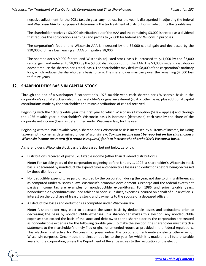negative adjustment for the 2021 taxable year, any net loss for the year is disregarded in adjusting the federal and Wisconsin AAA for purposes of determining the tax treatment of distributions made during the taxable year.

The shareholder receives a \$3,000 distribution out of the AAA and the remaining \$3,000 is treated as a dividend that reduces the corporation's earnings and profits to \$2,000 for federal and Wisconsin purposes.

The corporation's federal and Wisconsin AAA is increased by the \$2,000 capital gain and decreased by the \$10,000 ordinary loss, leaving an AAA of negative \$8,000.

The shareholder's \$9,000 federal and Wisconsin adjusted stock basis is increased to \$11,000 by the \$2,000 capital gain and reduced to \$8,000 by the \$3,000 distribution out of the AAA. The \$3,000 dividend distribution doesn't reduce the shareholder's stock basis. The shareholder may deduct \$8,000 of the corporation's ordinary loss, which reduces the shareholder's basis to zero. The shareholder may carry over the remaining \$2,000 loss to future years.

# <span id="page-43-0"></span>**SHAREHOLDER'S BASIS IN CAPITAL STOCK**

44

Through the end of a Subchapter S corporation's 1978 taxable year, each shareholder's Wisconsin basis in the corporation's capital stock equaled the shareholder's original investment (cost or other basis) plus additional capital contributions made by the shareholder and minus distributions of capital received.

Beginning with the 1979 taxable year (the first year to which Wisconsin's tax-option (S) law applies) and through the 1986 taxable year, a shareholder's Wisconsin basis is increased (decreased) each year by the share of the corporate net income (loss), as determined under Wisconsin law, for the year.

Beginning with the 1987 taxable year, a shareholder's Wisconsin basis is increased by all items of income, including tax-exempt income, as determined under Wisconsin law. *Taxable income must be reported on the shareholder's Wisconsin income tax return (if a return is required) for it to increase the shareholder's Wisconsin basis.*

A shareholder's Wisconsin stock basis is decreased, but not below zero, by:

• Distributions received of post-1978 taxable income (other than dividend distributions).

**Note:** For taxable years of the corporation beginning before January 1, 1997, a shareholder's Wisconsin stock basis is decreased by nondeductible expenditures and deductible losses and deductions before being decreased by these distributions.

- Nondeductible expenditures paid or accrued by the corporation during the year, not due to timing differences, as computed under Wisconsin law. Wisconsin's economic development surcharge and the federal excess net passive income tax are examples of nondeductible expenditures. For 1986 and prior taxable years, nondeductible expenditures included athletic or social club dues, expenses incurred on behalf of public officials, interest on the purchase of treasury stock, and payments to the spouse of a deceased officer.
- All deductible losses and deductions as computed under Wisconsin law.

**Note:** A shareholder may elect to decrease the stock basis by deductible losses and deductions prior to decreasing the basis by nondeductible expenses. If a shareholder makes this election, any nondeductible expenses that exceed the basis of the stock and debt owed to the shareholder by the corporation are treated as nondeductible expenses for the following taxable year. To make the election, the shareholder must attach a statement to the shareholder's timely filed original or amended return, as provided in the federal regulations. This election is effective for Wisconsin purposes unless the corporation affirmatively elects otherwise for Wisconsin purposes. Once made, the election applies to the year for which it is made and all future taxable years for the corporation, unless the Department of Revenue agrees to the revocation of the election.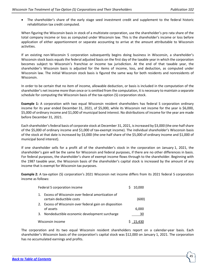• The shareholder's share of the early stage seed investment credit and supplement to the federal historic rehabilitation tax credit computed.

When figuring the Wisconsin basis in stock of a multistate corporation, use the shareholder's pro rata share of the total company income or loss as computed under Wisconsin law. This is the shareholder's income or loss before application of either apportionment or separate accounting to arrive at the amount attributable to Wisconsin activities.

If an existing non-Wisconsin S corporation subsequently begins doing business in Wisconsin, a shareholder's Wisconsin stock basis equals the federal adjusted basis on the first day of the taxable year in which the corporation becomes subject to Wisconsin's franchise or income tax jurisdiction. At the end of that taxable year, the shareholder's Wisconsin basis is adjusted for the items of income, loss, and deduction, as computed under Wisconsin law. The initial Wisconsin stock basis is figured the same way for both residents and nonresidents of Wisconsin.

In order to be certain that no item of income, allowable deduction, or basis is included in the computation of the shareholder's net income more than once or is omitted from the computation, it is necessary to maintain a separate schedule for computing the Wisconsin basis of the tax-option (S) corporation stock.

**Example 1:** A corporation with two equal Wisconsin resident shareholders has federal S corporation ordinary income for its year ended December 31, 2021, of \$5,000, while its Wisconsin net income for the year is \$6,000, \$5,000 of ordinary income and \$1,000 of municipal bond interest. No distributions of income for the year are made before December 31, 2021.

Each shareholder's federal basis of corporate stock at December 31, 2021, is increased by \$3,000 (the one-half share of the \$5,000 of ordinary income and \$1,000 of tax-exempt income). The individual shareholder's Wisconsin basis of the stock at that date is increased by \$3,000 (the one-half share of the \$5,000 of ordinary income and \$1,000 of municipal bond interest).

If one shareholder sells for a profit all of the shareholder's stock in the corporation on January 1, 2021, the shareholder's gain will be the same for Wisconsin and federal purposes, if there are no other differences in basis. For federal purposes, the shareholder's share of exempt income flows through to the shareholder. Beginning with the 1987 taxable year, the Wisconsin basis of the shareholder's capital stock is increased by the amount of any income that is exempt for Wisconsin tax purposes.

**Example 2:** A tax-option (S) corporation's 2021 Wisconsin net income differs from its 2021 federal S corporation income as follows:

| Federal S corporation income |                                                                              | 10,000 |
|------------------------------|------------------------------------------------------------------------------|--------|
| $\mathbf{1}$ .               | Excess of Wisconsin over federal amortization of<br>certain deductible costs | (600)  |
| 2.                           | Excess of Wisconsin over federal gain on disposition<br>of assets            | 6,000  |
| 3.                           | Nondeductible economic development surcharge                                 | 30     |
|                              | Wisconsin income                                                             |        |

The corporation and its two equal Wisconsin resident shareholders report on a calendar-year basis. Each shareholder's Wisconsin basis of the corporation's capital stock was \$12,000 on January 1, 2021. The corporation has no accumulated earnings and profits.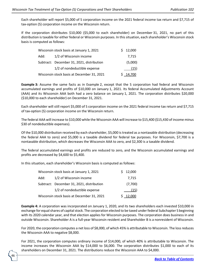Each shareholder will report \$5,000 of S corporation income on the 2021 federal income tax return and \$7,715 of tax-option (S) corporation income on the Wisconsin return.

If the corporation distributes \$10,000 (\$5,000 to each shareholder) on December 31, 2021, no part of this distribution is taxable for either federal or Wisconsin purposes. In this situation, each shareholder's Wisconsin stock basis is computed as follows:

| Wisconsin stock basis at January 1, 2021 |                                            |  | \$12,000 |
|------------------------------------------|--------------------------------------------|--|----------|
| Add:                                     | 1/2 of Wisconsin income                    |  | 7.715    |
|                                          | Subtract: December 31, 2021, distribution  |  | (5,000)  |
|                                          | 1/2 of nondeductible expense               |  | (15)     |
|                                          | Wisconsin stock basis at December 31, 2021 |  | S 14,700 |

**Example 3:** Assume the same facts as in Example 2, except that the S corporation had federal and Wisconsin accumulated earnings and profits of \$10,000 on January 1, 2021. Its federal Accumulated Adjustments Account (AAA) and its Wisconsin AAA both had a zero balance on January 1, 2021. The corporation distributes \$20,000 (\$10,000 to each shareholder) on December 31, 2021.

Each shareholder will still report \$5,000 of S corporation income on the 2021 federal income tax return and \$7,715 of tax-option (S) corporation income on the Wisconsin return.

The federal AAA will increase to \$10,000 while the Wisconsin AAA will increase to \$15,400 (\$15,430 of income minus \$30 of nondeductible expenses).

Of the \$10,000 distribution received by each shareholder, \$5,000 is treated as a nontaxable distribution (decreasing the federal AAA to zero) and \$5,000 is a taxable dividend for federal tax purposes. For Wisconsin, \$7,700 is a nontaxable distribution, which decreases the Wisconsin AAA to zero, and \$2,300 is a taxable dividend.

The federal accumulated earnings and profits are reduced to zero, and the Wisconsin accumulated earnings and profits are decreased by \$4,600 to \$5,400.

In this situation, each shareholder's Wisconsin basis is computed as follows:

|                                            | \$12,000 |
|--------------------------------------------|----------|
| Add:<br>1/2 of Wisconsin income            | 7.715    |
| Subtract: December 31, 2021, distribution  | (7,700)  |
| 1/2 of nondeductible expense               | (15)     |
| Wisconsin stock basis at December 31, 2021 | \$12,000 |

**Example 4:** A corporation was incorporated on January 1, 2020, and its two shareholders each invested \$10,000 in exchange for equal shares of capital stock. The corporation elected to be taxed under federal Subchapter S beginning with its 2020 calendar year, and that election applies for Wisconsin purposes. The corporation does business in and outside Wisconsin. Shareholder A is a full-year Wisconsin resident and Shareholder B is a nonresident of Wisconsin.

For 2020, the corporation computes a net loss of \$8,000, of which 45% is attributable to Wisconsin. The loss reduces the Wisconsin AAA to negative \$8,000.

For 2021, the corporation computes ordinary income of \$14,000, of which 40% is attributable to Wisconsin. The income increases the Wisconsin AAA by \$14,000 to \$6,000. The corporation distributes \$1,000 to each of its shareholders on December 31, 2021. The distributions reduce the Wisconsin AAA to \$4,000.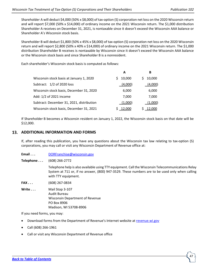Shareholder A will deduct \$4,000 (50% x \$8,000) of tax-option (S) corporation net loss on the 2020 Wisconsin return and will report \$7,000 (50% x \$14,000) of ordinary income on the 2021 Wisconsin return. The \$1,000 distribution Shareholder A receives on December 31, 2021, is nontaxable since it doesn't exceed the Wisconsin AAA balance or Shareholder A's Wisconsin stock basis.

Shareholder B will deduct \$1,800 (50% x 45% x \$8,000) of tax-option (S) corporation net loss on the 2020 Wisconsin return and will report \$2,800 (50% x 40% x \$14,000) of ordinary income on the 2021 Wisconsin return. The \$1,000 distribution Shareholder B receives is nontaxable by Wisconsin since it doesn't exceed the Wisconsin AAA balance or the Wisconsin stock basis and since Shareholder B is a nonresident.

Each shareholder's Wisconsin stock basis is computed as follows:

|                                           | А       | В       |
|-------------------------------------------|---------|---------|
| Wisconsin stock basis at January 1, 2020  | 10,000  | 10,000  |
| Subtract: 1/2 of 2020 loss                | (4,000) | (4,000) |
| Wisconsin stock basis, December 31, 2020  | 6,000   | 6,000   |
| Add: 1/2 of 2021 income                   | 7,000   | 7,000   |
| Subtract: December 31, 2021, distribution | (1,000) | (1,000) |
| Wisconsin stock basis, December 31, 2021  | 12,000  | 12,000  |

If Shareholder B becomes a Wisconsin resident on January 1, 2022, the Wisconsin stock basis on that date will be \$12,000.

# <span id="page-46-0"></span>**ADDITIONAL INFORMATION AND FORMS**

If, after reading this publication, you have any questions about the Wisconsin tax law relating to tax-option (S) corporations, you may call or visit any Wisconsin Department of Revenue office at:

**Email . . .** [DORFranchise@wisconsin.gov](https://www.revenue.wi.gov/Pages/ContactUs/dorhelp.aspx?subject=dorfranchise)

**Telephone . . .** (608) 266-2772

Telephone help is also available using TTY equipment. Call the Wisconsin Telecommunications Relay System at 711 or, if no answer, (800) 947-3529. These numbers are to be used only when calling with TTY equipment.

**FAX . . .** (608) 267-0834

**Write** . . . **Mail Stop 3-107** Audit Bureau Wisconsin Department of Revenue PO Box 8906 Madison, WI 53708-8906

If you need forms, you may:

- Download forms from the Department of Revenue's Internet website at [revenue.wi.gov](https://www.revenue.wi.gov/Pages/HTML/formpub.aspx)
- Call (608) 266-1961
- Call or visit any Wisconsin Department of Revenue office